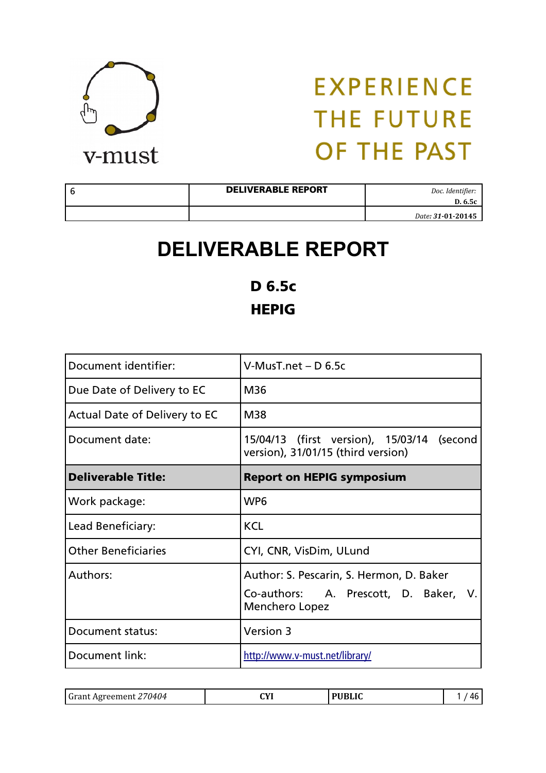

| <b>DELIVERABLE REPORT</b> | Doc. Identifier:<br>D. 6.5c |
|---------------------------|-----------------------------|
|                           | Date: 31-01-20145           |

### **DELIVERABLE REPORT**

D 6.5c **HEPIG** 

| Document identifier:          | $V$ -Mus $T$ .net – D 6.5c                                                                          |  |
|-------------------------------|-----------------------------------------------------------------------------------------------------|--|
| Due Date of Delivery to EC    | M36                                                                                                 |  |
| Actual Date of Delivery to EC | M38                                                                                                 |  |
| Document date:                | 15/04/13 (first version), 15/03/14 (second<br>version), 31/01/15 (third version)                    |  |
| <b>Deliverable Title:</b>     | <b>Report on HEPIG symposium</b>                                                                    |  |
| Work package:                 | WP <sub>6</sub>                                                                                     |  |
| Lead Beneficiary:             | <b>KCL</b>                                                                                          |  |
| <b>Other Beneficiaries</b>    | CYI, CNR, VisDim, ULund                                                                             |  |
| Authors:                      | Author: S. Pescarin, S. Hermon, D. Baker<br>Co-authors: A. Prescott, D. Baker, V.<br>Menchero Lopez |  |
| Document status:              | Version 3                                                                                           |  |
| Document link:                | http://www.v-must.net/library/                                                                      |  |

| <b>PHRIIC</b><br>$\alpha v$<br><b>Grant Agreement</b><br>(114114<br>$\sim$ |
|----------------------------------------------------------------------------|
|----------------------------------------------------------------------------|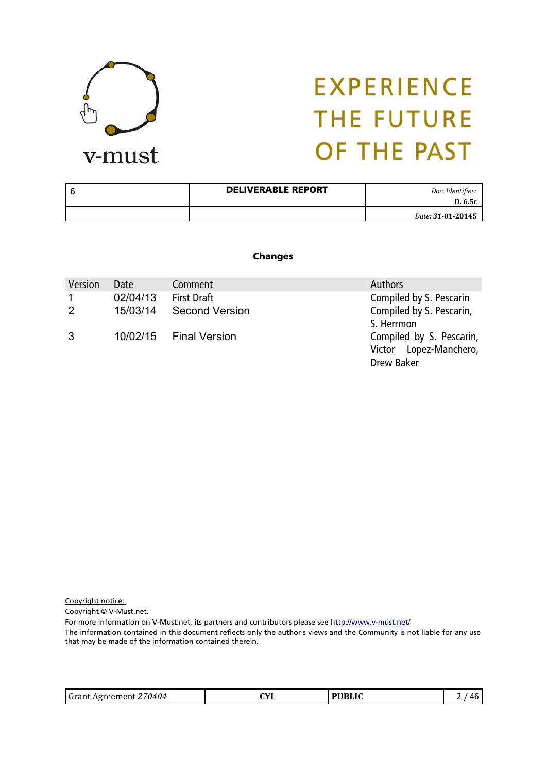

| 6 | <b>DELIVERABLE REPORT</b> | Doc. Identifier:<br>D. 6.5c |
|---|---------------------------|-----------------------------|
|   |                           | Date: 31-01-20145           |

#### Changes

| Version        | <b>Date</b> | Comment                | <b>Authors</b>           |
|----------------|-------------|------------------------|--------------------------|
| $\mathbf{1}$   | 02/04/13    | <b>First Draft</b>     | Compiled by S. Pescarin  |
| $\overline{2}$ | 15/03/14    | <b>Second Version</b>  | Compiled by S. Pescarin, |
|                |             |                        | S. Herrmon               |
| 3              |             | 10/02/15 Final Version | Compiled by S. Pescarin, |
|                |             |                        | Victor Lopez-Manchero,   |
|                |             |                        | Drew Baker               |

Copyright notice:

Copyright © V-Must.net.

For more information on V-Must.net, its partners and contributors please see http://www.v-must.net/

The information contained in this document reflects only the author's views and the Community is not liable for any use that may be made of the information contained therein.

| Grant Agreement 270404 | CYI | <b>PUBLIC</b> | 46 |
|------------------------|-----|---------------|----|
|------------------------|-----|---------------|----|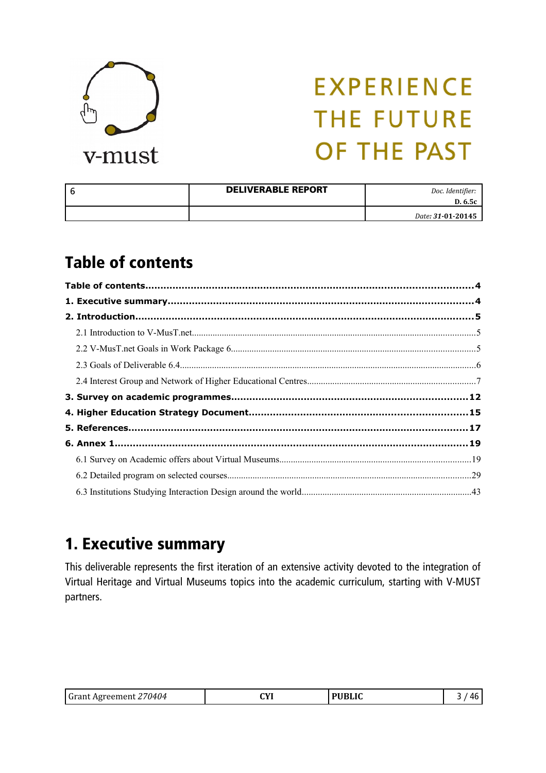

| <b>DELIVERABLE REPORT</b> | Doc. Identifier:<br>D. 6.5c |
|---------------------------|-----------------------------|
|                           | Date: 31-01-20145           |

### Table of contents

### 1. Executive summary

This deliverable represents the first iteration of an extensive activity devoted to the integration of Virtual Heritage and Virtual Museums topics into the academic curriculum, starting with V-MUST partners.

| <b>Grant Agreement 27</b><br>,70404 | CVI | <b>PUBLIC</b> |  |
|-------------------------------------|-----|---------------|--|
|-------------------------------------|-----|---------------|--|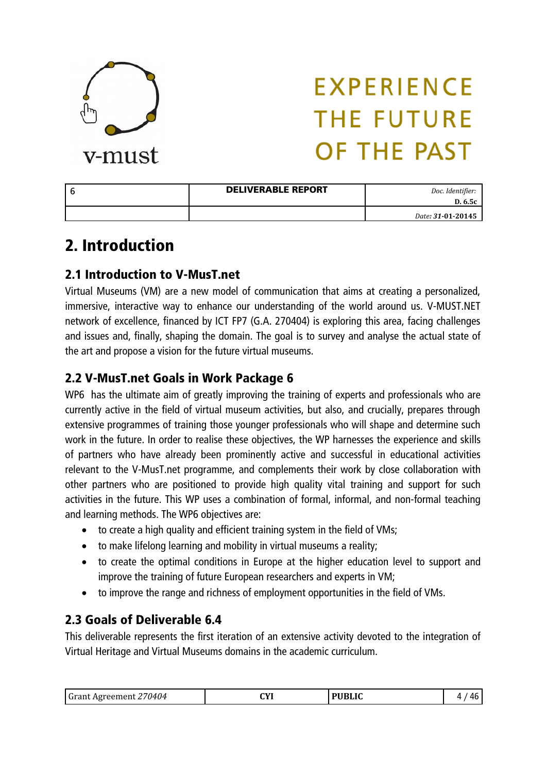

| <b>DELIVERABLE REPORT</b> | Doc. Identifier:<br>D. 6.5c |
|---------------------------|-----------------------------|
|                           | Date: 31-01-20145           |

### 2. Introduction

### 2.1 Introduction to V-MusT.net

Virtual Museums (VM) are a new model of communication that aims at creating a personalized, immersive, interactive way to enhance our understanding of the world around us. V-MUST.NET network of excellence, financed by ICT FP7 (G.A. 270404) is exploring this area, facing challenges and issues and, finally, shaping the domain. The goal is to survey and analyse the actual state of the art and propose a vision for the future virtual museums.

### 2.2 V-MusT.net Goals in Work Package 6

WP6 has the ultimate aim of greatly improving the training of experts and professionals who are currently active in the field of virtual museum activities, but also, and crucially, prepares through extensive programmes of training those younger professionals who will shape and determine such work in the future. In order to realise these objectives, the WP harnesses the experience and skills of partners who have already been prominently active and successful in educational activities relevant to the V-MusT.net programme, and complements their work by close collaboration with other partners who are positioned to provide high quality vital training and support for such activities in the future. This WP uses a combination of formal, informal, and non-formal teaching and learning methods. The WP6 objectives are:

- to create a high quality and efficient training system in the field of VMs;
- to make lifelong learning and mobility in virtual museums a reality;
- to create the optimal conditions in Europe at the higher education level to support and improve the training of future European researchers and experts in VM;
- to improve the range and richness of employment opportunities in the field of VMs.

### 2.3 Goals of Deliverable 6.4

This deliverable represents the first iteration of an extensive activity devoted to the integration of Virtual Heritage and Virtual Museums domains in the academic curriculum.

| IIRI IC<br>$\sqrt{1}$<br>l Gr:<br>114<br><br>. .<br>$\ddotsc$ |  |
|---------------------------------------------------------------|--|
|---------------------------------------------------------------|--|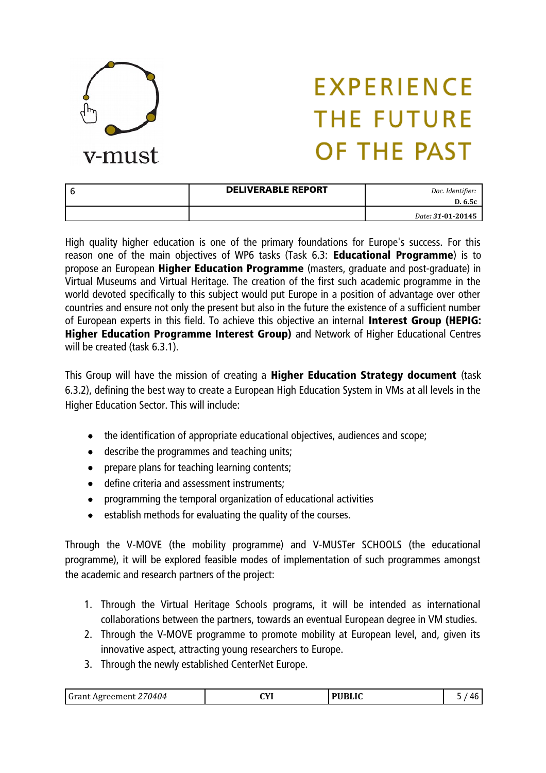

| <b>DELIVERABLE REPORT</b> | Doc. Identifier:<br>D. 6.5c |
|---------------------------|-----------------------------|
|                           | Date: 31-01-20145           |

High quality higher education is one of the primary foundations for Europe's success. For this reason one of the main objectives of WP6 tasks (Task 6.3: **Educational Programme**) is to propose an European Higher Education Programme (masters, graduate and post-graduate) in Virtual Museums and Virtual Heritage. The creation of the first such academic programme in the world devoted specifically to this subject would put Europe in a position of advantage over other countries and ensure not only the present but also in the future the existence of a sufficient number of European experts in this field. To achieve this objective an internal Interest Group (HEPIG: Higher Education Programme Interest Group) and Network of Higher Educational Centres will be created (task 6.3.1).

This Group will have the mission of creating a Higher Education Strategy document (task 6.3.2), defining the best way to create a European High Education System in VMs at all levels in the Higher Education Sector. This will include:

- the identification of appropriate educational objectives, audiences and scope;
- describe the programmes and teaching units;
- prepare plans for teaching learning contents;
- define criteria and assessment instruments;
- programming the temporal organization of educational activities
- $\bullet$  establish methods for evaluating the quality of the courses.

Through the V-MOVE (the mobility programme) and V-MUSTer SCHOOLS (the educational programme), it will be explored feasible modes of implementation of such programmes amongst the academic and research partners of the project:

- 1. Through the Virtual Heritage Schools programs, it will be intended as international collaborations between the partners, towards an eventual European degree in VM studies.
- 2. Through the V-MOVE programme to promote mobility at European level, and, given its innovative aspect, attracting young researchers to Europe.
- 3. Through the newly established CenterNet Europe.

| Grant Agreement 2. | $\sqrt{1}$ | DIIDI IC | 46 |
|--------------------|------------|----------|----|
| 70404              | .          | DLIL     |    |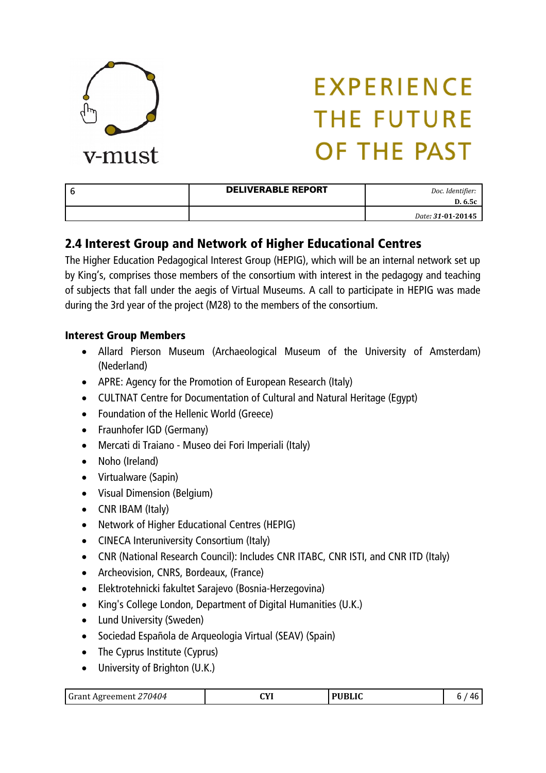

| <b>DELIVERABLE REPORT</b> | Doc. Identifier:<br>D. 6.5c |
|---------------------------|-----------------------------|
|                           | Date: 31-01-20145           |

### 2.4 Interest Group and Network of Higher Educational Centres

The Higher Education Pedagogical Interest Group (HEPIG), which will be an internal network set up by King's, comprises those members of the consortium with interest in the pedagogy and teaching of subjects that fall under the aegis of Virtual Museums. A call to participate in HEPIG was made during the 3rd year of the project (M28) to the members of the consortium.

#### Interest Group Members

- Allard Pierson Museum (Archaeological Museum of the University of Amsterdam) (Nederland)
- APRE: Agency for the Promotion of European Research (Italy)
- CULTNAT Centre for Documentation of Cultural and Natural Heritage (Egypt)
- Foundation of the Hellenic World (Greece)
- Fraunhofer IGD (Germany)
- Mercati di Traiano Museo dei Fori Imperiali (Italy)
- Noho (Ireland)
- Virtualware (Sapin)
- Visual Dimension (Belgium)
- CNR IBAM (Italy)
- Network of Higher Educational Centres (HEPIG)
- CINECA Interuniversity Consortium (Italy)
- CNR (National Research Council): Includes CNR ITABC, CNR ISTI, and CNR ITD (Italy)
- Archeovision, CNRS, Bordeaux, (France)
- Elektrotehnicki fakultet Sarajevo (Bosnia-Herzegovina)
- King's College London, Department of Digital Humanities (U.K.)
- Lund University (Sweden)
- Sociedad Española de Arqueologia Virtual (SEAV) (Spain)
- The Cyprus Institute (Cyprus)
- University of Brighton (U.K.)

| Grant Agreement 270404 | <b>CVI</b><br>ᄖ | <b>PUBLIC</b> | 46 |
|------------------------|-----------------|---------------|----|
|------------------------|-----------------|---------------|----|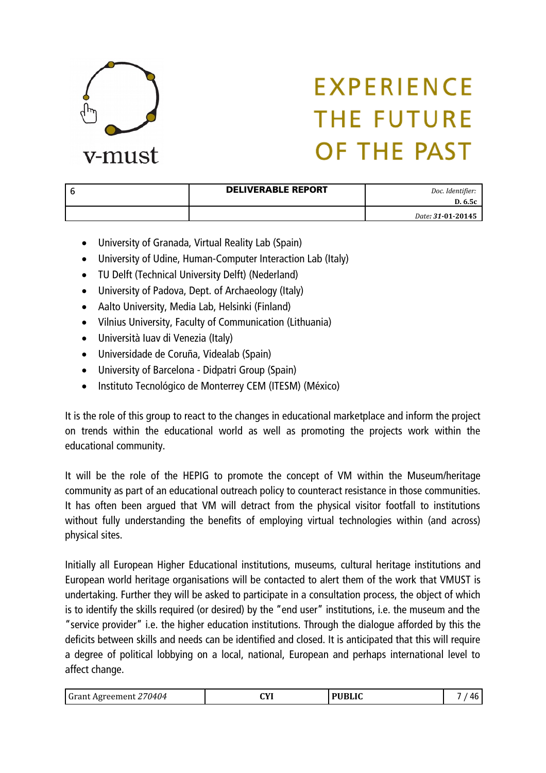

| <b>DELIVERABLE REPORT</b> | Doc. Identifier:<br>D. 6.5c |
|---------------------------|-----------------------------|
|                           | Date: 31-01-20145           |

- University of Granada, Virtual Reality Lab (Spain)
- University of Udine, Human-Computer Interaction Lab (Italy)
- TU Delft (Technical University Delft) (Nederland)
- University of Padova, Dept. of Archaeology (Italy)
- Aalto University, Media Lab, Helsinki (Finland)
- Vilnius University, Faculty of Communication (Lithuania)
- Università Iuav di Venezia (Italy)
- Universidade de Coruña, Videalab (Spain)
- University of Barcelona Didpatri Group (Spain)
- Instituto Tecnológico de Monterrey CEM (ITESM) (México)

It is the role of this group to react to the changes in educational marketplace and inform the project on trends within the educational world as well as promoting the projects work within the educational community.

It will be the role of the HEPIG to promote the concept of VM within the Museum/heritage community as part of an educational outreach policy to counteract resistance in those communities. It has often been argued that VM will detract from the physical visitor footfall to institutions without fully understanding the benefits of employing virtual technologies within (and across) physical sites.

Initially all European Higher Educational institutions, museums, cultural heritage institutions and European world heritage organisations will be contacted to alert them of the work that VMUST is undertaking. Further they will be asked to participate in a consultation process, the object of which is to identify the skills required (or desired) by the "end user" institutions, i.e. the museum and the "service provider" i.e. the higher education institutions. Through the dialogue afforded by this the deficits between skills and needs can be identified and closed. It is anticipated that this will require a degree of political lobbying on a local, national, European and perhaps international level to affect change.

| Grant Agreement 270404 | си | <b>PUBLIC</b> | 46 |
|------------------------|----|---------------|----|
|------------------------|----|---------------|----|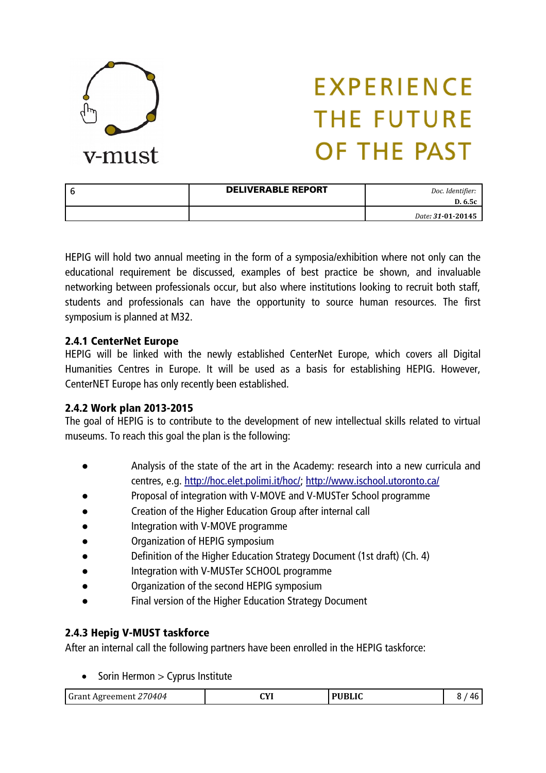

| <b>DELIVERABLE REPORT</b> | Doc. Identifier:<br>D. 6.5c |
|---------------------------|-----------------------------|
|                           | Date: 31-01-20145           |

HEPIG will hold two annual meeting in the form of a symposia/exhibition where not only can the educational requirement be discussed, examples of best practice be shown, and invaluable networking between professionals occur, but also where institutions looking to recruit both staff, students and professionals can have the opportunity to source human resources. The first symposium is planned at M32.

#### 2.4.1 CenterNet Europe

HEPIG will be linked with the newly established CenterNet Europe, which covers all Digital Humanities Centres in Europe. It will be used as a basis for establishing HEPIG. However, CenterNET Europe has only recently been established.

#### 2.4.2 Work plan 2013-2015

The goal of HEPIG is to contribute to the development of new intellectual skills related to virtual museums. To reach this goal the plan is the following:

- Analysis of the state of the art in the Academy: research into a new curricula and centres, e.g. [http://hoc.elet.polimi.it/hoc/;](http://hoc.elet.polimi.it/hoc/)<http://www.ischool.utoronto.ca/>
- Proposal of integration with V-MOVE and V-MUSTer School programme
- Creation of the Higher Education Group after internal call
- Integration with V-MOVE programme
- Organization of HEPIG symposium
- Definition of the Higher Education Strategy Document (1st draft) (Ch. 4)
- Integration with V-MUSTer SCHOOL programme
- Organization of the second HEPIG symposium
- Final version of the Higher Education Strategy Document

#### 2.4.3 Hepig V-MUST taskforce

After an internal call the following partners have been enrolled in the HEPIG taskforce:

 $\bullet$  Sorin Hermon  $>$  Cyprus Institute

| 70404<br>1.122<br>APTPPMPM<br>чн. | CVI<br>. | $\overline{\rm n}$ di $\overline{\rm n}$<br>LIV. | Лŀ |
|-----------------------------------|----------|--------------------------------------------------|----|
|-----------------------------------|----------|--------------------------------------------------|----|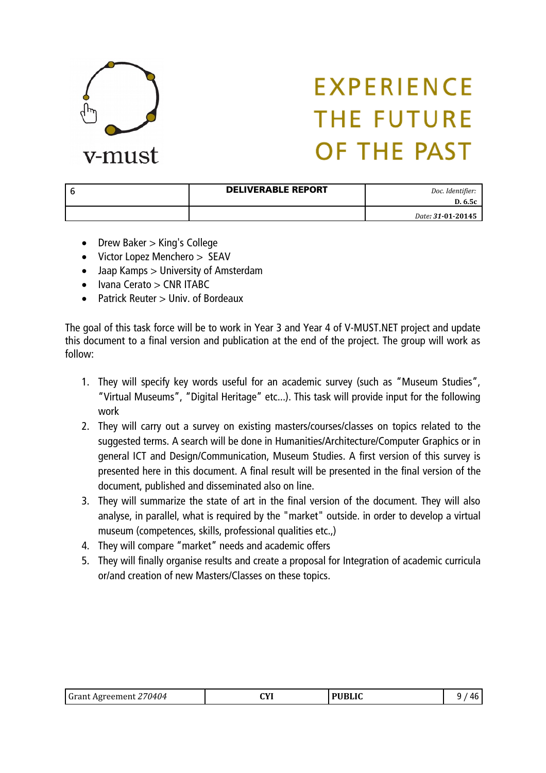

| <b>DELIVERABLE REPORT</b> | Doc. Identifier:<br>D. 6.5c |
|---------------------------|-----------------------------|
|                           | Date: 31-01-20145           |

- Drew Baker > King's College
- Victor Lopez Menchero > SEAV
- Jaap Kamps > University of Amsterdam
- $\bullet$  Ivana Cerato  $>$  CNR ITABC
- Patrick Reuter > Univ. of Bordeaux

The goal of this task force will be to work in Year 3 and Year 4 of V-MUST.NET project and update this document to a final version and publication at the end of the project. The group will work as follow:

- 1. They will specify key words useful for an academic survey (such as "Museum Studies", "Virtual Museums", "Digital Heritage" etc...). This task will provide input for the following work
- 2. They will carry out a survey on existing masters/courses/classes on topics related to the suggested terms. A search will be done in Humanities/Architecture/Computer Graphics or in general ICT and Design/Communication, Museum Studies. A first version of this survey is presented here in this document. A final result will be presented in the final version of the document, published and disseminated also on line.
- 3. They will summarize the state of art in the final version of the document. They will also analyse, in parallel, what is required by the "market" outside. in order to develop a virtual museum (competences, skills, professional qualities etc.,)
- 4. They will compare "market" needs and academic offers
- 5. They will finally organise results and create a proposal for Integration of academic curricula or/and creation of new Masters/Classes on these topics.

| Grant Agreement 270404 | СVІ<br>. | <b>PUBLIC</b> | ი<br>46 |
|------------------------|----------|---------------|---------|
|------------------------|----------|---------------|---------|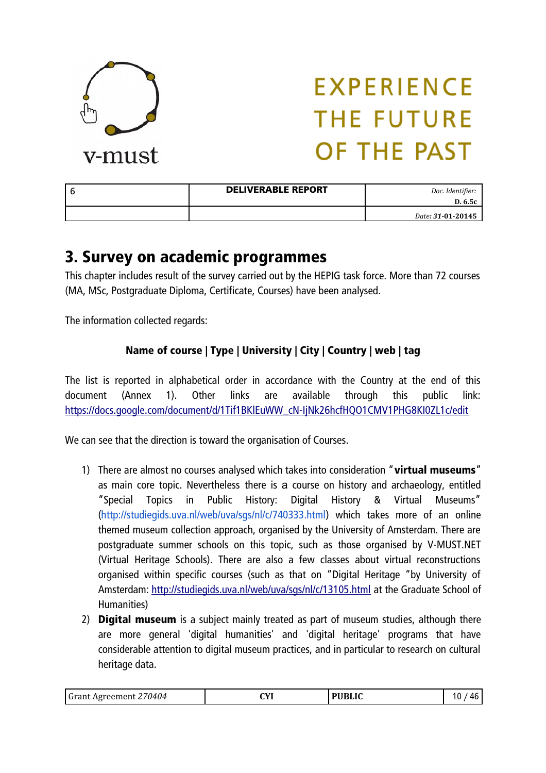

| <b>DELIVERABLE REPORT</b> | Doc. Identifier:<br>D. 6.5c |
|---------------------------|-----------------------------|
|                           | Date: 31-01-20145           |

### 3. Survey on academic programmes

This chapter includes result of the survey carried out by the HEPIG task force. More than 72 courses (MA, MSc, Postgraduate Diploma, Certificate, Courses) have been analysed.

The information collected regards:

### Name of course | Type | University | City | Country | web | tag

The list is reported in alphabetical order in accordance with the Country at the end of this document (Annex 1). Other links are available through this public link: [https://docs.google.com/document/d/1Tif1BKlEuWW\\_cN-IjNk26hcfHQO1CMV1PHG8KI0ZL1c/edit](https://docs.google.com/document/d/1Tif1BKlEuWW_cN-IjNk26hcfHQO1CMV1PHG8KI0ZL1c/edit)

We can see that the direction is toward the organisation of Courses.

- 1) There are almost no courses analysed which takes into consideration "virtual museums" as main core topic. Nevertheless there is a course on history and archaeology, entitled "Special Topics in Public History: Digital History & Virtual Museums" (http://studiegids.uva.nl/web/uva/sgs/nl/c/740333.html) which takes more of an online themed museum collection approach, organised by the University of Amsterdam. There are postgraduate summer schools on this topic, such as those organised by V-MUST.NET (Virtual Heritage Schools). There are also a few classes about virtual reconstructions organised within specific courses (such as that on "Digital Heritage "by University of Amsterdam:<http://studiegids.uva.nl/web/uva/sgs/nl/c/13105.html>at the Graduate School of Humanities)
- 2) **Digital museum** is a subject mainly treated as part of museum studies, although there are more general 'digital humanities' and 'digital heritage' programs that have considerable attention to digital museum practices, and in particular to research on cultural heritage data.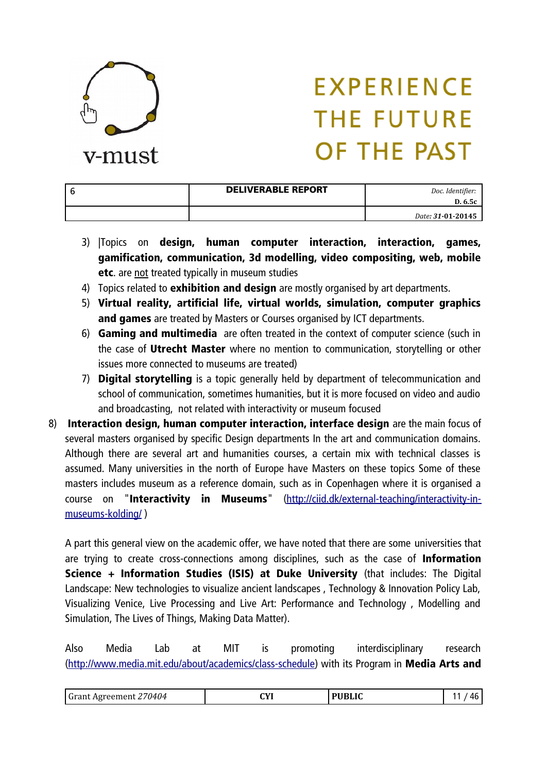

| <b>DELIVERABLE REPORT</b> | Doc. Identifier:<br>D. 6.5c |
|---------------------------|-----------------------------|
|                           | Date: 31-01-20145           |

- 3) |Topics on design, human computer interaction, interaction, games, gamification, communication, 3d modelling, video compositing, web, mobile etc. are not treated typically in museum studies
- 4) Topics related to exhibition and design are mostly organised by art departments.
- 5) Virtual reality, artificial life, virtual worlds, simulation, computer graphics and games are treated by Masters or Courses organised by ICT departments.
- 6) Gaming and multimedia are often treated in the context of computer science (such in the case of Utrecht Master where no mention to communication, storytelling or other issues more connected to museums are treated)
- 7) **Digital storytelling** is a topic generally held by department of telecommunication and school of communication, sometimes humanities, but it is more focused on video and audio and broadcasting, not related with interactivity or museum focused
- 8) Interaction design, human computer interaction, interface design are the main focus of several masters organised by specific Design departments In the art and communication domains. Although there are several art and humanities courses, a certain mix with technical classes is assumed. Many universities in the north of Europe have Masters on these topics Some of these masters includes museum as a reference domain, such as in Copenhagen where it is organised a course on "Interactivity in Museums" [\(http://ciid.dk/external-teaching/interactivity-in](http://ciid.dk/external-teaching/interactivity-in-museums-kolding/)[museums-kolding/](http://ciid.dk/external-teaching/interactivity-in-museums-kolding/) )

A part this general view on the academic offer, we have noted that there are some universities that are trying to create cross-connections among disciplines, such as the case of **Information** Science + Information Studies (ISIS) at Duke University (that includes: The Digital Landscape: New technologies to visualize ancient landscapes , Technology & Innovation Policy Lab, Visualizing Venice, Live Processing and Live Art: Performance and Technology , Modelling and Simulation, The Lives of Things, Making Data Matter).

Also Media Lab at MIT is promoting interdisciplinary research [\(http://www.media.mit.edu/about/academics/class-schedule\)](http://www.media.mit.edu/about/academics/class-schedule) with its Program in Media Arts and

| 70404<br><sup>I</sup> Grant<br>∵Aøreement | $\alpha$<br>.<br>$\sim$ | <b>PURLIC</b> | Лŀ |
|-------------------------------------------|-------------------------|---------------|----|
|-------------------------------------------|-------------------------|---------------|----|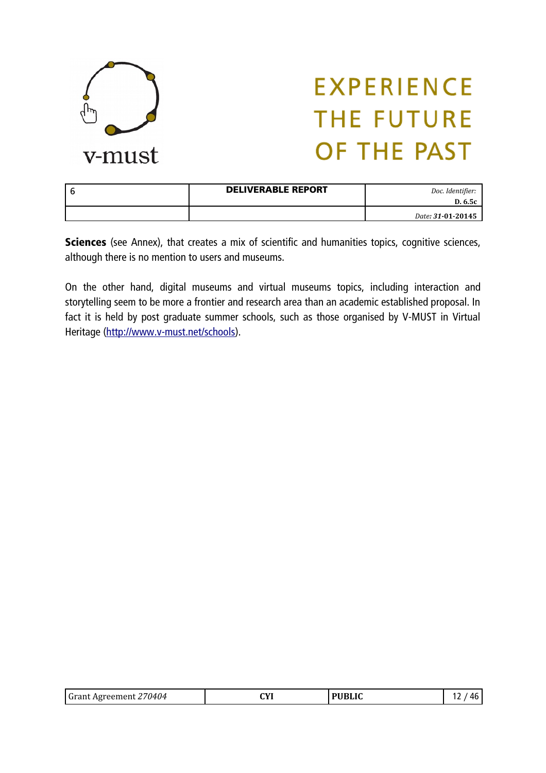

| <b>DELIVERABLE REPORT</b> | Doc. Identifier:<br>D. 6.5c |
|---------------------------|-----------------------------|
|                           | Date: 31-01-20145           |

Sciences (see Annex), that creates a mix of scientific and humanities topics, cognitive sciences, although there is no mention to users and museums.

On the other hand, digital museums and virtual museums topics, including interaction and storytelling seem to be more a frontier and research area than an academic established proposal. In fact it is held by post graduate summer schools, such as those organised by V-MUST in Virtual Heritage [\(http://www.v-must.net/schools\)](http://www.v-must.net/schools).

| 270404.<br>Grant,<br>: Agreement | CVI<br>. | <b>PUBLIC</b> | 76 |
|----------------------------------|----------|---------------|----|
|----------------------------------|----------|---------------|----|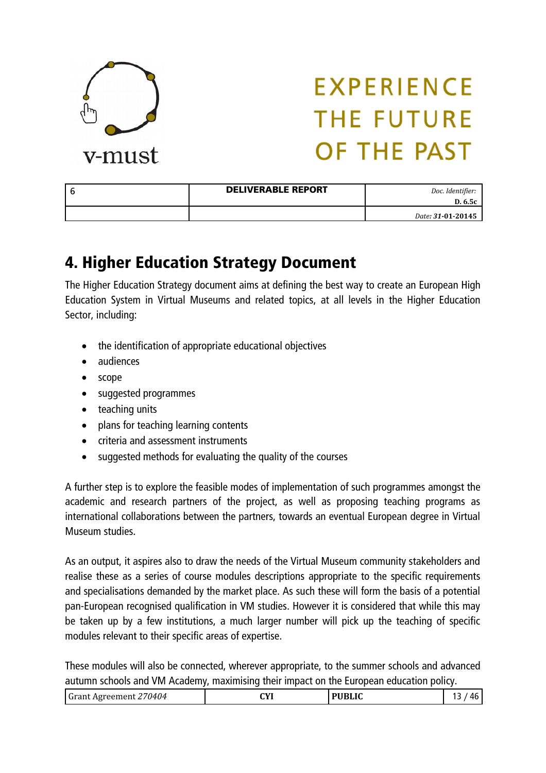

| <b>DELIVERABLE REPORT</b> | Doc. Identifier:<br>D. 6.5c |
|---------------------------|-----------------------------|
|                           | Date: 31-01-20145           |

### 4. Higher Education Strategy Document

The Higher Education Strategy document aims at defining the best way to create an European High Education System in Virtual Museums and related topics, at all levels in the Higher Education Sector, including:

- the identification of appropriate educational objectives
- audiences
- scope
- suggested programmes
- teaching units
- plans for teaching learning contents
- criteria and assessment instruments
- suggested methods for evaluating the quality of the courses

A further step is to explore the feasible modes of implementation of such programmes amongst the academic and research partners of the project, as well as proposing teaching programs as international collaborations between the partners, towards an eventual European degree in Virtual Museum studies.

As an output, it aspires also to draw the needs of the Virtual Museum community stakeholders and realise these as a series of course modules descriptions appropriate to the specific requirements and specialisations demanded by the market place. As such these will form the basis of a potential pan-European recognised qualification in VM studies. However it is considered that while this may be taken up by a few institutions, a much larger number will pick up the teaching of specific modules relevant to their specific areas of expertise.

These modules will also be connected, wherever appropriate, to the summer schools and advanced autumn schools and VM Academy, maximising their impact on the European education policy.

| 70404<br>$\int \mathbf{r} \, \mathbf{r}$<br>Agreement<br>аш | СVI<br>. | 17 זמוזנ | / I 6 |
|-------------------------------------------------------------|----------|----------|-------|
|-------------------------------------------------------------|----------|----------|-------|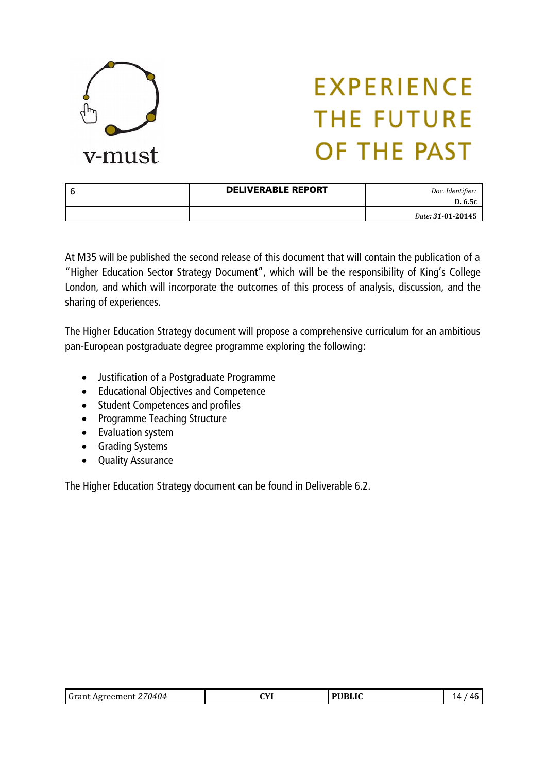

| <b>DELIVERABLE REPORT</b> | Doc. Identifier:<br>D. 6.5c |
|---------------------------|-----------------------------|
|                           | Date: 31-01-20145           |

At M35 will be published the second release of this document that will contain the publication of a "Higher Education Sector Strategy Document", which will be the responsibility of King's College London, and which will incorporate the outcomes of this process of analysis, discussion, and the sharing of experiences.

The Higher Education Strategy document will propose a comprehensive curriculum for an ambitious pan-European postgraduate degree programme exploring the following:

- Justification of a Postgraduate Programme
- Educational Objectives and Competence
- Student Competences and profiles
- Programme Teaching Structure
- Evaluation system
- Grading Systems
- Quality Assurance

The Higher Education Strategy document can be found in Deliverable 6.2.

| <b>Grant Agreement 27</b> | rvі | <b>PUBLIC</b> | Δ. |
|---------------------------|-----|---------------|----|
| 70404                     | .   |               | л  |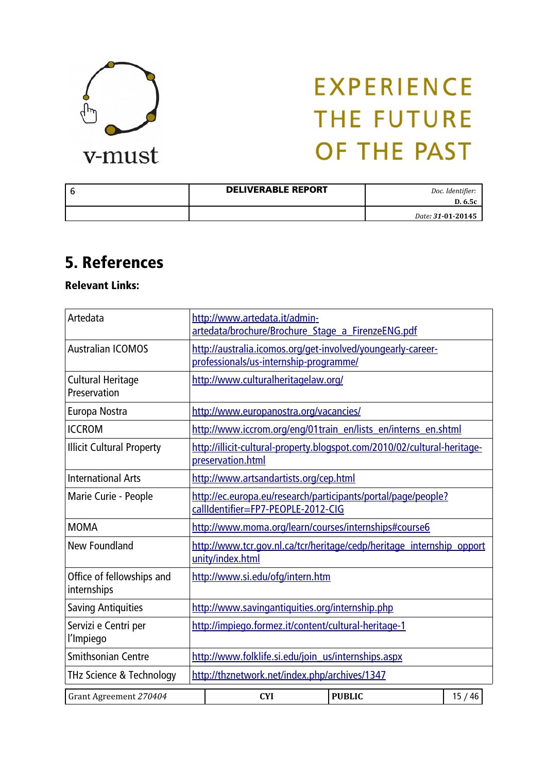

| <b>DELIVERABLE REPORT</b> | Doc. Identifier:<br>D. 6.5c |
|---------------------------|-----------------------------|
|                           | Date: 31-01-20145           |

### 5. References

Relevant Links:

| Artedata                                 | http://www.artedata.it/admin-<br>artedata/brochure/Brochure Stage a FirenzeENG.pdf                    |       |  |
|------------------------------------------|-------------------------------------------------------------------------------------------------------|-------|--|
| <b>Australian ICOMOS</b>                 | http://australia.icomos.org/get-involved/youngearly-career-<br>professionals/us-internship-programme/ |       |  |
| <b>Cultural Heritage</b><br>Preservation | http://www.culturalheritagelaw.org/                                                                   |       |  |
| Europa Nostra                            | http://www.europanostra.org/vacancies/                                                                |       |  |
| <b>ICCROM</b>                            | http://www.iccrom.org/eng/01train_en/lists_en/interns_en.shtml                                        |       |  |
| <b>Illicit Cultural Property</b>         | http://illicit-cultural-property.blogspot.com/2010/02/cultural-heritage-<br>preservation.html         |       |  |
| <b>International Arts</b>                | http://www.artsandartists.org/cep.html                                                                |       |  |
| Marie Curie - People                     | http://ec.europa.eu/research/participants/portal/page/people?<br>callIdentifier=FP7-PEOPLE-2012-CIG   |       |  |
| <b>MOMA</b>                              | http://www.moma.org/learn/courses/internships#course6                                                 |       |  |
| New Foundland                            | http://www.tcr.gov.nl.ca/tcr/heritage/cedp/heritage_internship_opport<br>unity/index.html             |       |  |
| Office of fellowships and<br>internships | http://www.si.edu/ofg/intern.htm                                                                      |       |  |
| <b>Saving Antiquities</b>                | http://www.savingantiquities.org/internship.php                                                       |       |  |
| Servizi e Centri per<br>l'Impiego        | http://impiego.formez.it/content/cultural-heritage-1                                                  |       |  |
| <b>Smithsonian Centre</b>                | http://www.folklife.si.edu/join_us/internships.aspx                                                   |       |  |
| THz Science & Technology                 | http://thznetwork.net/index.php/archives/1347                                                         |       |  |
| Grant Agreement 270404                   | <b>PUBLIC</b><br><b>CYI</b>                                                                           | 15/46 |  |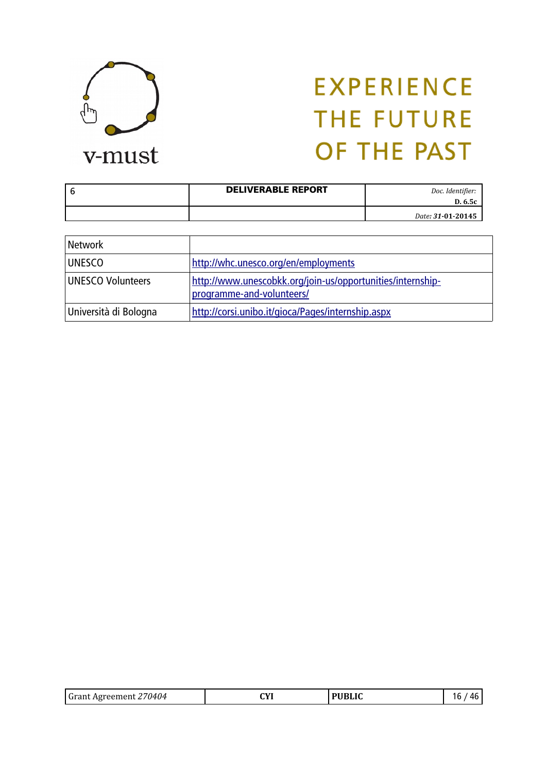

| <b>DELIVERABLE REPORT</b> | Doc. Identifier:<br>D. 6.5c |
|---------------------------|-----------------------------|
|                           | Date: 31-01-20145           |

| Network               |                                                                                         |
|-----------------------|-----------------------------------------------------------------------------------------|
| <b>UNESCO</b>         | http://whc.unesco.org/en/employments                                                    |
| UNESCO Volunteers     | http://www.unescobkk.org/join-us/opportunities/internship-<br>programme-and-volunteers/ |
| Università di Bologna | http://corsi.unibo.it/gioca/Pages/internship.aspx                                       |

| Grant Agreement 270404 | CVI<br>. | <b>PUBLIC</b> | 16<br>Лŀ |
|------------------------|----------|---------------|----------|
|------------------------|----------|---------------|----------|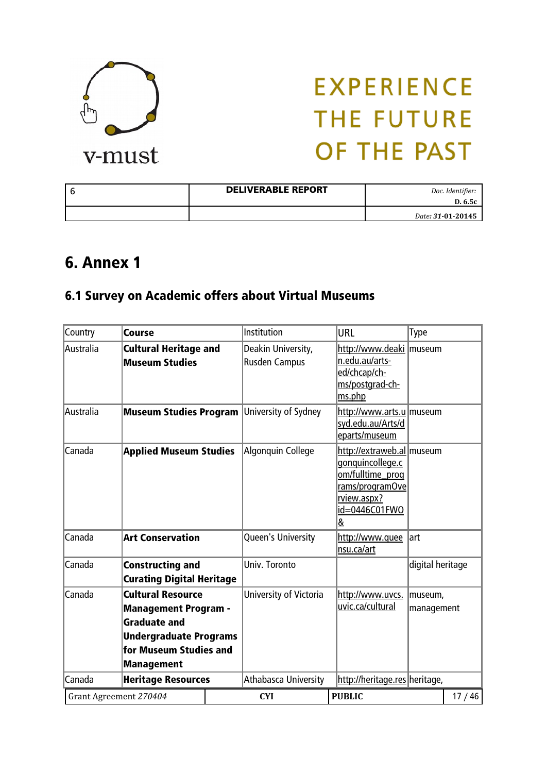

| l 6 | <b>DELIVERABLE REPORT</b> | Doc. Identifier:<br>D. 6.5c |
|-----|---------------------------|-----------------------------|
|     |                           | Date: 31-01-20145           |

### 6. Annex 1

### 6.1 Survey on Academic offers about Virtual Museums

| Country   | <b>Course</b>                                                                                                                                                  | Institution                                | <b>URL</b>                                                                                                                | Type                  |       |
|-----------|----------------------------------------------------------------------------------------------------------------------------------------------------------------|--------------------------------------------|---------------------------------------------------------------------------------------------------------------------------|-----------------------|-------|
| Australia | <b>Cultural Heritage and</b><br><b>Museum Studies</b>                                                                                                          | Deakin University,<br><b>Rusden Campus</b> | http://www.deaki   museum<br>n.edu.au/arts-<br>ed/chcap/ch-<br>ms/postgrad-ch-<br>ms.php                                  |                       |       |
| Australia | <b>Museum Studies Program University of Sydney</b>                                                                                                             |                                            | http://www.arts.u   museum<br>syd.edu.au/Arts/d<br>eparts/museum                                                          |                       |       |
| Canada    | <b>Applied Museum Studies</b>                                                                                                                                  | Algonquin College                          | http://extraweb.al museum<br>gonquincollege.c<br>om/fulltime_prog<br>rams/programOve<br>rview.aspx?<br>id=0446C01FWO<br>& |                       |       |
| Canada    | <b>Art Conservation</b>                                                                                                                                        | Queen's University                         | http://www.quee<br>nsu.ca/art                                                                                             | lart                  |       |
| Canada    | <b>Constructing and</b><br><b>Curating Digital Heritage</b>                                                                                                    | Univ. Toronto                              |                                                                                                                           | digital heritage      |       |
| Canada    | <b>Cultural Resource</b><br><b>Management Program -</b><br><b>Graduate and</b><br><b>Undergraduate Programs</b><br>for Museum Studies and<br><b>Management</b> | University of Victoria                     | http://www.uvcs.<br>uvic.ca/cultural                                                                                      | museum,<br>management |       |
| Canada    | <b>Heritage Resources</b>                                                                                                                                      | Athabasca University                       | http://heritage.res heritage,                                                                                             |                       |       |
|           | Grant Agreement 270404                                                                                                                                         | <b>CYI</b>                                 | <b>PUBLIC</b>                                                                                                             |                       | 17/46 |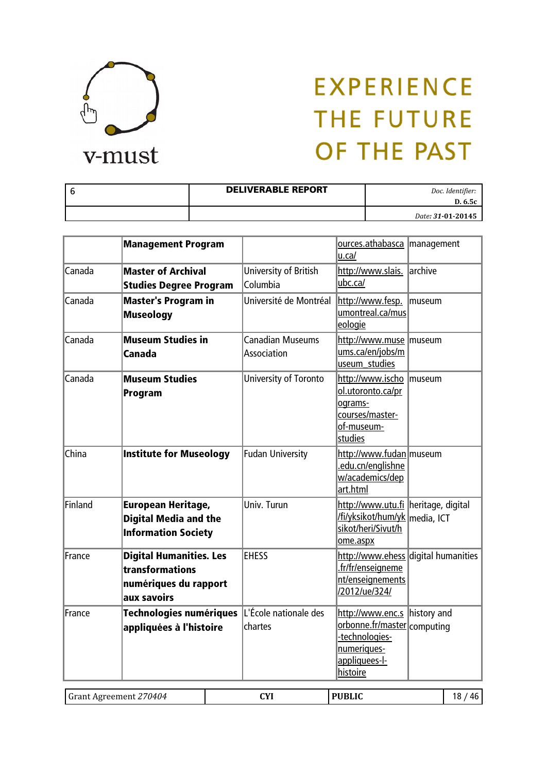

| -6 | <b>DELIVERABLE REPORT</b> | Doc. Identifier:<br>D. 6.5c |
|----|---------------------------|-----------------------------|
|    |                           | Date: 31-01-20145           |

|         | <b>Management Program</b>                                                                 |                                        | ources.athabasca   management<br>u.ca/                                                                                    |                                     |
|---------|-------------------------------------------------------------------------------------------|----------------------------------------|---------------------------------------------------------------------------------------------------------------------------|-------------------------------------|
| Canada  | <b>Master of Archival</b><br><b>Studies Degree Program</b>                                | University of British<br>Columbia      | http://www.slais.<br>ubc.ca/                                                                                              | larchive                            |
| Canada  | <b>Master's Program in</b><br><b>Museology</b>                                            | Université de Montréal                 | http://www.fesp.<br>umontreal.ca/mus<br>eologie                                                                           | lmuseum                             |
| Canada  | <b>Museum Studies in</b><br><b>Canada</b>                                                 | <b>Canadian Museums</b><br>Association | http://www.muse   museum<br>ums.ca/en/jobs/m<br>useum studies                                                             |                                     |
| Canada  | <b>Museum Studies</b><br>Program                                                          | University of Toronto                  | http://www.ischo   museum<br>ol.utoronto.ca/pr<br>ograms-<br>courses/master-<br>of-museum-<br>studies                     |                                     |
| China   | <b>Institute for Museology</b>                                                            | <b>Fudan University</b>                | http://www.fudan   museum<br>.edu.cn/englishne<br>w/academics/dep<br>art.html                                             |                                     |
| Finland | <b>European Heritage,</b><br><b>Digital Media and the</b><br><b>Information Society</b>   | Univ. Turun                            | http://www.utu.fi heritage, digital<br>/fi/yksikot/hum/yk   media, ICT<br>sikot/heri/Sivut/h<br>ome.aspx                  |                                     |
| France  | <b>Digital Humanities. Les</b><br>transformations<br>numériques du rapport<br>aux savoirs | <b>EHESS</b>                           | .fr/fr/enseigneme<br>nt/enseignements<br>/2012/ue/324/                                                                    | http://www.ehess digital humanities |
| France  | Technologies numériques<br>appliquées à l'histoire                                        | L'École nationale des<br>chartes       | http://www.enc.s history and<br>orbonne.fr/master computing<br>-technologies-<br>numeriques-<br>appliquees-I-<br>histoire |                                     |

| /0404<br>ำกาท<br>' ( i 1<br>APTPPME.<br>. | rvi<br>.<br>--- |  |  |
|-------------------------------------------|-----------------|--|--|
|-------------------------------------------|-----------------|--|--|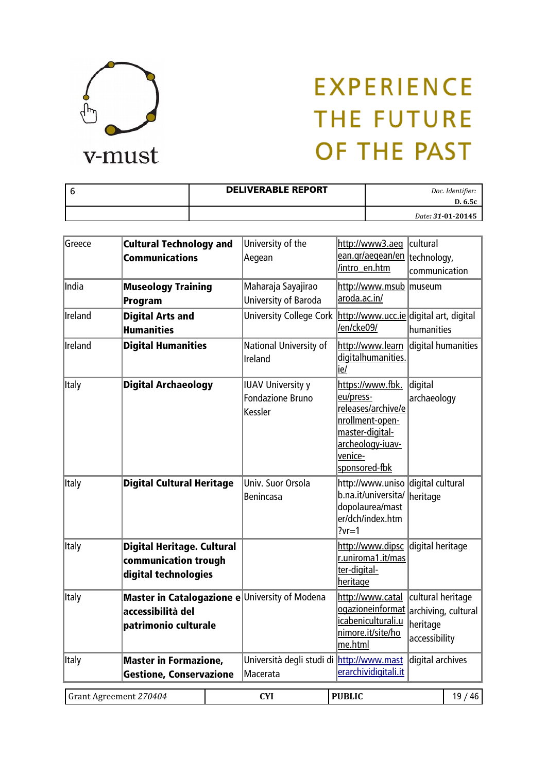

| <b>DELIVERABLE REPORT</b> | Doc. Identifier:<br>D. 6.5c |
|---------------------------|-----------------------------|
|                           | Date: 31-01-20145           |

| Greece  | <b>Cultural Technology and</b><br><b>Communications</b>                           | University of the<br>Aegean                                    | http://www3.aeg<br>ean.gr/aegean/en  technology,<br>/intro en.htm                                                                         | cultural<br>communication                                             |
|---------|-----------------------------------------------------------------------------------|----------------------------------------------------------------|-------------------------------------------------------------------------------------------------------------------------------------------|-----------------------------------------------------------------------|
| India   | <b>Museology Training</b><br>Program                                              | Maharaja Sayajirao<br>University of Baroda                     | http://www.msub  museum<br>aroda.ac.in/                                                                                                   |                                                                       |
| Ireland | <b>Digital Arts and</b><br><b>Humanities</b>                                      | <b>University College Cork</b>                                 | http://www.ucc.ie digital art, digital<br>/en/cke09/                                                                                      | humanities                                                            |
| Ireland | <b>Digital Humanities</b>                                                         | National University of<br>Ireland                              | http://www.learn<br>digitalhumanities.<br>ie/                                                                                             | digital humanities                                                    |
| Italy   | <b>Digital Archaeology</b>                                                        | <b>IUAV University y</b><br><b>Fondazione Bruno</b><br>Kessler | https://www.fbk.<br>eu/press-<br>releases/archive/e<br>nrollment-open-<br>master-digital-<br>archeology-iuav-<br>venice-<br>sponsored-fbk | digital<br>archaeology                                                |
| Italy   | <b>Digital Cultural Heritage</b>                                                  | Univ. Suor Orsola<br>Benincasa                                 | http://www.uniso<br>b.na.it/universita/<br>dopolaurea/mast<br>er/dch/index.htm<br>$?vr=1$                                                 | digital cultural<br>heritage                                          |
| Italy   | <b>Digital Heritage. Cultural</b><br>communication trough<br>digital technologies |                                                                | http://www.dipsc<br>r.uniroma1.it/mas<br>ter-digital-<br>heritage                                                                         | digital heritage                                                      |
| Italy   | accessibilità del<br>patrimonio culturale                                         | Master in Catalogazione e University of Modena                 | http://www.catal<br>ogazioneinformat<br>icabeniculturali.u<br>nimore.it/site/ho<br>me.html                                                | cultural heritage<br>archiving, cultural<br>heritage<br>accessibility |
| Italy   | <b>Master in Formazione,</b><br><b>Gestione, Conservazione</b>                    | Università degli studi di http://www.mast<br>Macerata          | erarchividigitali.it                                                                                                                      | digital archives                                                      |
|         | Grant Agreement 270404                                                            | <b>CYI</b>                                                     | <b>PUBLIC</b>                                                                                                                             | 19/46                                                                 |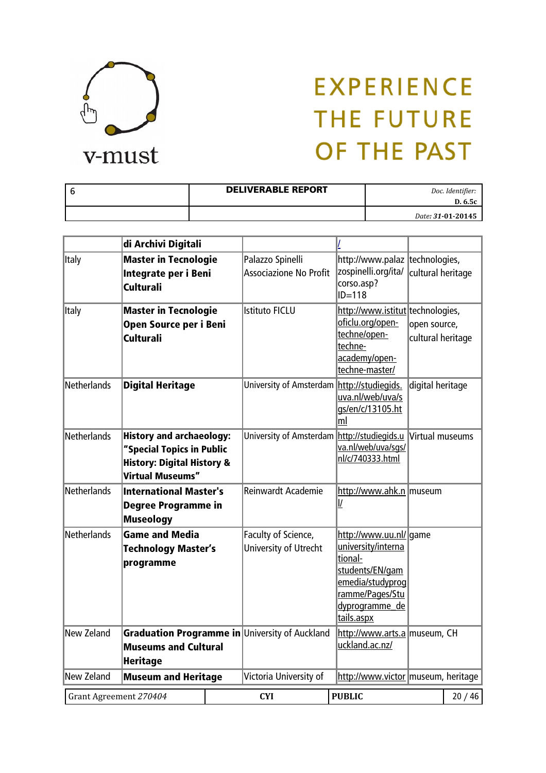

| <b>DELIVERABLE REPORT</b> | Doc. Identifier:<br>D. 6.5c |
|---------------------------|-----------------------------|
|                           | Date: 31-01-20145           |

|                        | di Archivi Digitali                                                                                                              |                                                   |                                                                                                                                                   |                                   |       |
|------------------------|----------------------------------------------------------------------------------------------------------------------------------|---------------------------------------------------|---------------------------------------------------------------------------------------------------------------------------------------------------|-----------------------------------|-------|
| <b>Italy</b>           | <b>Master in Tecnologie</b><br>Integrate per i Beni<br>Culturali                                                                 | Palazzo Spinelli<br><b>Associazione No Profit</b> | http://www.palaz   technologies,<br>zospinelli.org/ita/<br>corso.asp?<br>$ID=118$                                                                 | cultural heritage                 |       |
| Italy                  | <b>Master in Tecnologie</b><br>Open Source per i Beni<br><b>Culturali</b>                                                        | <b>Istituto FICLU</b>                             | http://www.istitut technologies,<br>oficlu.org/open-<br>techne/open-<br>techne-<br>academy/open-<br>techne-master/                                | open source,<br>cultural heritage |       |
| <b>Netherlands</b>     | <b>Digital Heritage</b>                                                                                                          | <b>University of Amsterdam</b>                    | http://studiegids.<br>uva.nl/web/uva/s<br>gs/en/c/13105.ht<br> m                                                                                  | digital heritage                  |       |
| <b>Netherlands</b>     | <b>History and archaeology:</b><br>"Special Topics in Public<br><b>History: Digital History &amp;</b><br><b>Virtual Museums"</b> | University of Amsterdam                           | http://studiegids.u<br>va.nl/web/uva/sqs/<br>nl/c/740333.html                                                                                     | Virtual museums                   |       |
| Netherlands            | <b>International Master's</b><br><b>Degree Programme in</b><br><b>Museology</b>                                                  | <b>Reinwardt Academie</b>                         | http://www.ahk.n   museum<br>$\underline{I}$                                                                                                      |                                   |       |
| <b>Netherlands</b>     | <b>Game and Media</b><br><b>Technology Master's</b><br>programme                                                                 | Faculty of Science,<br>University of Utrecht      | http://www.uu.nl/ game<br>university/interna<br>tional-<br>students/EN/gam<br>emedia/studyprog<br>ramme/Pages/Stu<br>dyprogramme de<br>tails.aspx |                                   |       |
| New Zeland             | <b>Museums and Cultural</b><br><b>Heritage</b>                                                                                   | Graduation Programme in University of Auckland    | http://www.arts.a   museum, CH<br>uckland.ac.nz/                                                                                                  |                                   |       |
| New Zeland             | <b>Museum and Heritage</b>                                                                                                       | Victoria University of                            | http://www.victor   museum, heritage                                                                                                              |                                   |       |
| Grant Agreement 270404 |                                                                                                                                  | <b>CYI</b>                                        | <b>PUBLIC</b>                                                                                                                                     |                                   | 20/46 |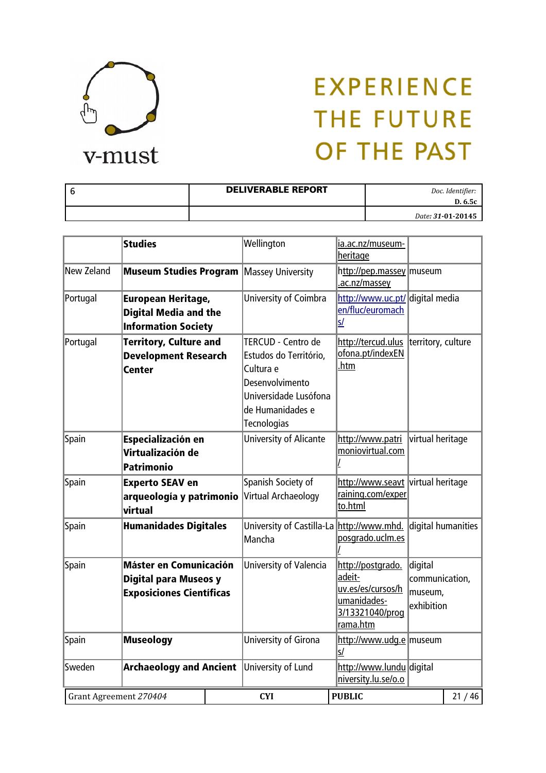

| -6 | <b>DELIVERABLE REPORT</b> | Doc. Identifier:             |
|----|---------------------------|------------------------------|
|    |                           | D. 6.5c<br>Date: 31-01-20145 |

|            | <b>Studies</b>                                                                                   | Wellington                                                                                                                                      | ia.ac.nz/museum-<br>heritage                                                                   |                                                    |                    |
|------------|--------------------------------------------------------------------------------------------------|-------------------------------------------------------------------------------------------------------------------------------------------------|------------------------------------------------------------------------------------------------|----------------------------------------------------|--------------------|
| New Zeland | <b>Museum Studies Program   Massey University</b>                                                |                                                                                                                                                 | http://pep.massey   museum<br>.ac.nz/massey                                                    |                                                    |                    |
| Portugal   | <b>European Heritage,</b><br><b>Digital Media and the</b><br><b>Information Society</b>          | University of Coimbra                                                                                                                           | http://www.uc.pt/ digital media<br>en/fluc/euromach<br>s/                                      |                                                    |                    |
| Portugal   | <b>Territory, Culture and</b><br><b>Development Research</b><br><b>Center</b>                    | <b>TERCUD - Centro de</b><br>Estudos do Território,<br>Cultura e<br>Desenvolvimento<br>Universidade Lusófona<br>de Humanidades e<br>Tecnologias | http://tercud.ulus<br>ofona.pt/indexEN<br><u>.htm</u>                                          | territory, culture                                 |                    |
| Spain      | Especialización en<br>Virtualización de<br><b>Patrimonio</b>                                     | <b>University of Alicante</b>                                                                                                                   | http://www.patri<br>moniovirtual.com                                                           | virtual heritage                                   |                    |
| Spain      | <b>Experto SEAV en</b><br>arqueología y patrimonio<br>virtual                                    | Spanish Society of<br>Virtual Archaeology                                                                                                       | http://www.seavt virtual heritage<br>raining.com/exper<br>to.html                              |                                                    |                    |
| Spain      | <b>Humanidades Digitales</b>                                                                     | University of Castilla-La http://www.mhd.<br>Mancha                                                                                             | posgrado.uclm.es                                                                               |                                                    | digital humanities |
| Spain      | <b>Máster en Comunicación</b><br><b>Digital para Museos y</b><br><b>Exposiciones Científicas</b> | University of Valencia                                                                                                                          | http://postgrado.<br>adeit-<br>uv.es/es/cursos/h<br>umanidades-<br>3/13321040/proq<br>rama.htm | digital<br>communication,<br>museum.<br>exhibition |                    |
| Spain      | <b>Museology</b>                                                                                 | University of Girona                                                                                                                            | http://www.udg.e   museum<br>s/                                                                |                                                    |                    |
| Sweden     | <b>Archaeology and Ancient</b>                                                                   | University of Lund                                                                                                                              | http://www.lundu digital<br>niversity.lu.se/o.o                                                |                                                    |                    |
|            | Grant Agreement 270404                                                                           | <b>CYI</b>                                                                                                                                      | <b>PUBLIC</b>                                                                                  |                                                    | 21/46              |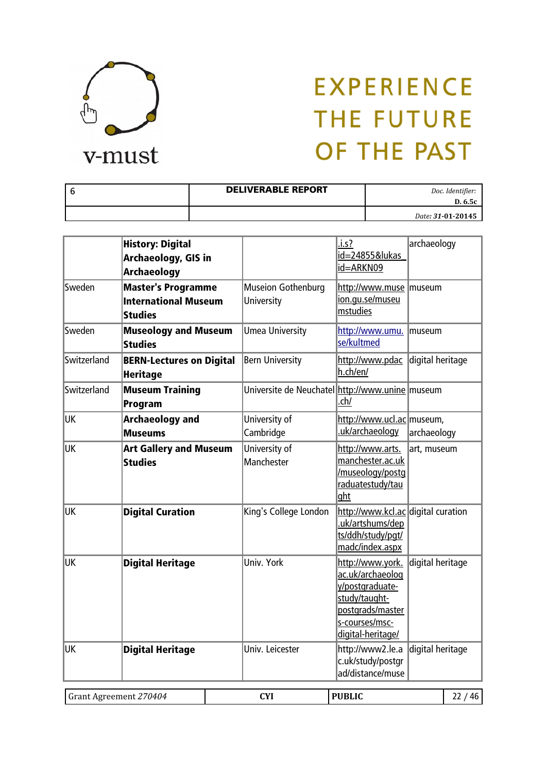

| <b>DELIVERABLE REPORT</b> | Doc. Identifier:<br>D. 6.5c |
|---------------------------|-----------------------------|
|                           | Date: 31-01-20145           |

|             | <b>History: Digital</b><br>Archaeology, GIS in<br><b>Archaeology</b>       |                                                   | .1.5?<br>id=24855&lukas<br>id=ARKN09                                                                                                | archaeology      |       |
|-------------|----------------------------------------------------------------------------|---------------------------------------------------|-------------------------------------------------------------------------------------------------------------------------------------|------------------|-------|
| Sweden      | <b>Master's Programme</b><br><b>International Museum</b><br><b>Studies</b> | Museion Gothenburg<br>University                  | http://www.muse   museum<br>ion.qu.se/museu<br>mstudies                                                                             |                  |       |
| Sweden      | <b>Museology and Museum</b><br><b>Studies</b>                              | <b>Umea University</b>                            | http://www.umu.<br>se/kultmed                                                                                                       | museum           |       |
| Switzerland | <b>BERN-Lectures on Digital</b><br><b>Heritage</b>                         | <b>Bern University</b>                            | http://www.pdac<br>h.ch/en/                                                                                                         | digital heritage |       |
| Switzerland | <b>Museum Training</b><br>Program                                          | Universite de Neuchatel http://www.unine   museum | .ch/                                                                                                                                |                  |       |
| <b>UK</b>   | <b>Archaeology and</b><br><b>Museums</b>                                   | University of<br>Cambridge                        | http://www.ucl.ac museum,<br>uk/archaeology.                                                                                        | archaeology      |       |
| UK          | <b>Art Gallery and Museum</b><br><b>Studies</b>                            | University of<br>Manchester                       | http://www.arts.<br>manchester.ac.uk<br>/museology/postq<br>raduatestudy/tau<br>ght                                                 | art, museum      |       |
| <b>UK</b>   | <b>Digital Curation</b>                                                    | King's College London                             | http://www.kcl.ac digital curation<br>uk/artshums/dep<br>ts/ddh/study/pgt/<br>madc/index.aspx                                       |                  |       |
| <b>UK</b>   | <b>Digital Heritage</b>                                                    | Univ. York                                        | http://www.york.<br>ac.uk/archaeolog<br>y/postgraduate-<br>study/taught-<br>postgrads/master<br>s-courses/msc-<br>digital-heritage/ | digital heritage |       |
| <b>UK</b>   | <b>Digital Heritage</b>                                                    | Univ. Leicester                                   | http://www2.le.a<br>c.uk/study/postgr<br>ad/distance/muse                                                                           | digital heritage |       |
|             | Grant Agreement 270404                                                     | <b>CYI</b>                                        | <b>PUBLIC</b>                                                                                                                       |                  | 22/46 |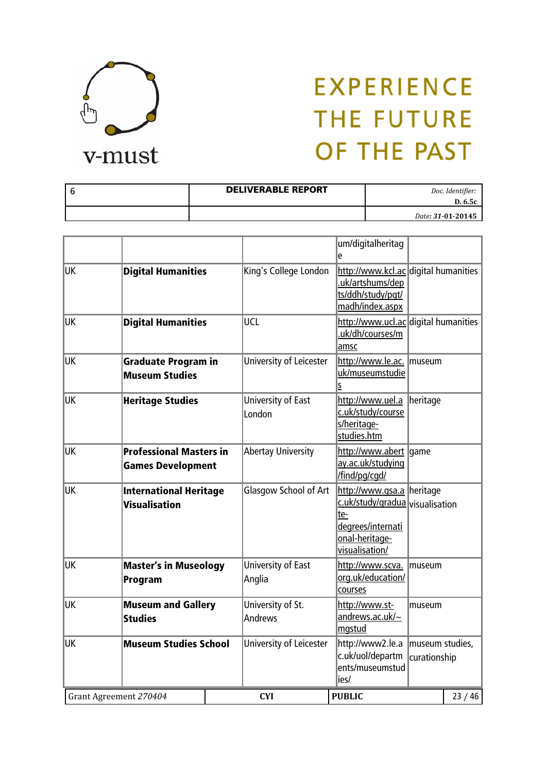

| <b>DELIVERABLE REPORT</b> | Doc. Identifier:<br>D. 6.5c |
|---------------------------|-----------------------------|
|                           | Date: 31-01-20145           |

|           |                                                            |                              | um/digitalheritag<br>е                                                                                                       |                                 |       |
|-----------|------------------------------------------------------------|------------------------------|------------------------------------------------------------------------------------------------------------------------------|---------------------------------|-------|
| UK        | <b>Digital Humanities</b>                                  | King's College London        | http://www.kcl.ac digital humanities<br>uk/artshums/dep<br>ts/ddh/study/pgt/<br>madh/index.aspx                              |                                 |       |
| <b>UK</b> | <b>Digital Humanities</b>                                  | <b>UCL</b>                   | http://www.ucl.ac digital humanities<br>.uk/dh/courses/m<br>amsc                                                             |                                 |       |
| <b>UK</b> | <b>Graduate Program in</b><br><b>Museum Studies</b>        | University of Leicester      | http://www.le.ac.   museum<br>uk/museumstudie<br>S                                                                           |                                 |       |
| UK.       | <b>Heritage Studies</b>                                    | University of East<br>London | http://www.uel.a<br>c.uk/study/course<br>s/heritage-<br>studies.htm                                                          | heritage                        |       |
| <b>UK</b> | <b>Professional Masters in</b><br><b>Games Development</b> | <b>Abertay University</b>    | http://www.abert game<br>ay.ac.uk/studying<br>/find/pg/cgd/                                                                  |                                 |       |
| UK        | <b>International Heritage</b><br>Visualisation             | Glasgow School of Art        | http://www.gsa.a heritage<br>c.uk/study/gradua visualisation<br>te-<br>degrees/internati<br>onal-heritage-<br>visualisation/ |                                 |       |
| UK        | <b>Master's in Museology</b><br>Program                    | University of East<br>Anglia | http://www.scva.<br>org.uk/education/<br>courses                                                                             | Imuseum                         |       |
| <b>UK</b> | <b>Museum and Gallery</b><br><b>Studies</b>                | University of St.<br>Andrews | http://www.st-<br>andrews.ac.uk/~<br>mgstud                                                                                  | museum                          |       |
| UK        | <b>Museum Studies School</b>                               | University of Leicester      | http://www2.le.a<br>c.uk/uol/departm<br>ents/museumstud<br>ies/                                                              | museum studies,<br>curationship |       |
|           | Grant Agreement 270404                                     | <b>CYI</b>                   | <b>PUBLIC</b>                                                                                                                |                                 | 23/46 |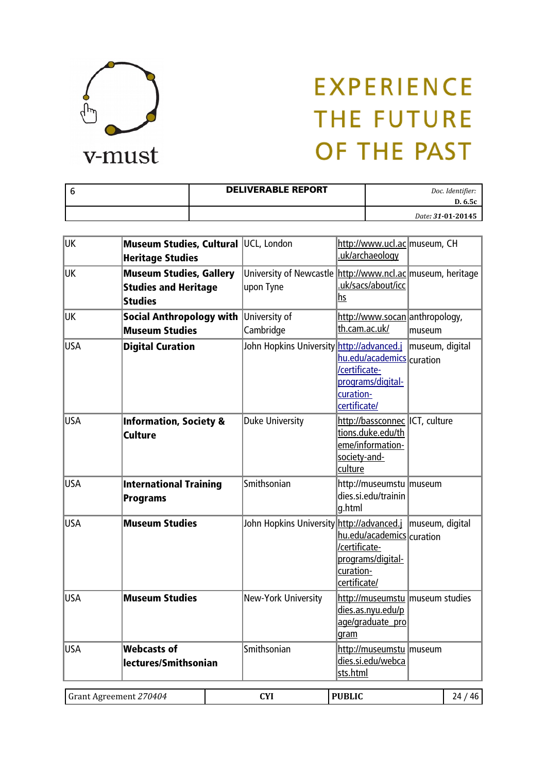

| <b>DELIVERABLE REPORT</b> | Doc. Identifier:<br>D. 6.5c |
|---------------------------|-----------------------------|
|                           | Date: 31-01-20145           |

| <b>UK</b>  | Museum Studies, Cultural UCL, London<br><b>Heritage Studies</b>                 |                                                                         | http://www.ucl.ac museum, CH<br>.uk/archaeology                                                    |                 |
|------------|---------------------------------------------------------------------------------|-------------------------------------------------------------------------|----------------------------------------------------------------------------------------------------|-----------------|
| UK         | <b>Museum Studies, Gallery</b><br><b>Studies and Heritage</b><br><b>Studies</b> | University of Newcastle http://www.ncl.ac museum, heritage<br>upon Tyne | .uk/sacs/about/icc<br>hs                                                                           |                 |
| <b>UK</b>  | <b>Social Anthropology with</b><br><b>Museum Studies</b>                        | University of<br>Cambridge                                              | http://www.socan anthropology,<br>th.cam.ac.uk/                                                    | museum          |
| <b>USA</b> | <b>Digital Curation</b>                                                         | John Hopkins University http://advanced.j                               | hu.edu/academics curation<br>/certificate-<br>programs/digital-<br>curation-<br>certificate/       | museum, digital |
| <b>USA</b> | <b>Information, Society &amp;</b><br><b>Culture</b>                             | <b>Duke University</b>                                                  | http://bassconnec ICT, culture<br>tions.duke.edu/th<br>eme/information-<br>society-and-<br>culture |                 |
| <b>USA</b> | <b>International Training</b><br><b>Programs</b>                                | Smithsonian                                                             | http://museumstu   museum<br>dies.si.edu/trainin<br>g.html                                         |                 |
| <b>USA</b> | <b>Museum Studies</b>                                                           | John Hopkins University http://advanced.j   museum, digital             | hu.edu/academics curation<br>/certificate-<br>programs/digital-<br>curation-<br>certificate/       |                 |
| <b>USA</b> | <b>Museum Studies</b>                                                           | New-York University                                                     | http://museumstu   museum studies<br>dies.as.nyu.edu/p<br>age/graduate pro<br>gram                 |                 |
| <b>USA</b> | <b>Webcasts of</b><br>lectures/Smithsonian                                      | Smithsonian                                                             | http://museumstu   museum<br>dies.si.edu/webca<br>sts.html                                         |                 |

| .70404    | $\mathbf{C}\mathbf{V}^{\mathbf{r}}$ | NIDI IC | л  |
|-----------|-------------------------------------|---------|----|
| ' Grant   | .                                   |         | ,, |
| Agreement | $\sim$                              |         |    |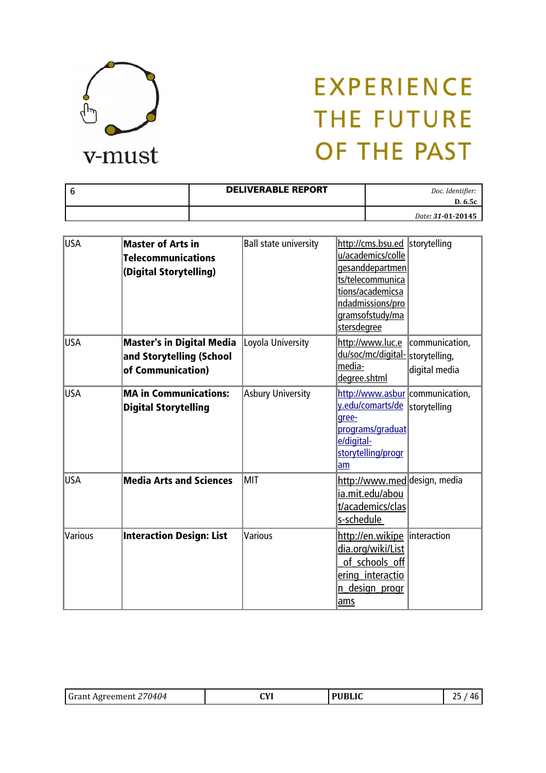

| - 6 | <b>DELIVERABLE REPORT</b> | Doc. Identifier:<br>D. 6.5c |
|-----|---------------------------|-----------------------------|
|     |                           | Date: 31-01-20145           |

| USA        | <b>Master of Arts in</b><br><b>Telecommunications</b><br>(Digital Storytelling)   | <b>Ball state university</b> | http://cms.bsu.ed   storytelling<br>u/academics/colle<br>gesanddepartmen<br>ts/telecommunica<br>tions/academicsa<br>ndadmissions/pro<br>gramsofstudy/ma<br>stersdegree |                                                  |
|------------|-----------------------------------------------------------------------------------|------------------------------|------------------------------------------------------------------------------------------------------------------------------------------------------------------------|--------------------------------------------------|
| <b>USA</b> | <b>Master's in Digital Media</b><br>and Storytelling (School<br>of Communication) | Loyola University            | http://www.luc.e<br>du/soc/mc/digital-<br>media-<br>degree.shtml                                                                                                       | communication,<br>storytelling,<br>digital media |
| <b>USA</b> | <b>MA in Communications:</b><br><b>Digital Storytelling</b>                       | <b>Asbury University</b>     | http://www.asbur communication,<br>y.edu/comarts/de  storytelling<br>qree-<br>programs/graduat<br>e/digital-<br>storytelling/progr<br>am                               |                                                  |
| <b>USA</b> | <b>Media Arts and Sciences</b>                                                    | <b>MIT</b>                   | http://www.med design, media<br>ia.mit.edu/abou<br>t/academics/clas<br>s-schedule                                                                                      |                                                  |
| Various    | <b>Interaction Design: List</b>                                                   | Various                      | <u>http://en.wikipe</u><br>dia.org/wiki/List<br>of schools off<br>ering interactio<br>n design progr<br>ams                                                            | <i>linteraction</i>                              |

| <b>Grant Agreement</b><br>70404<br>.<br>. . |
|---------------------------------------------|
|---------------------------------------------|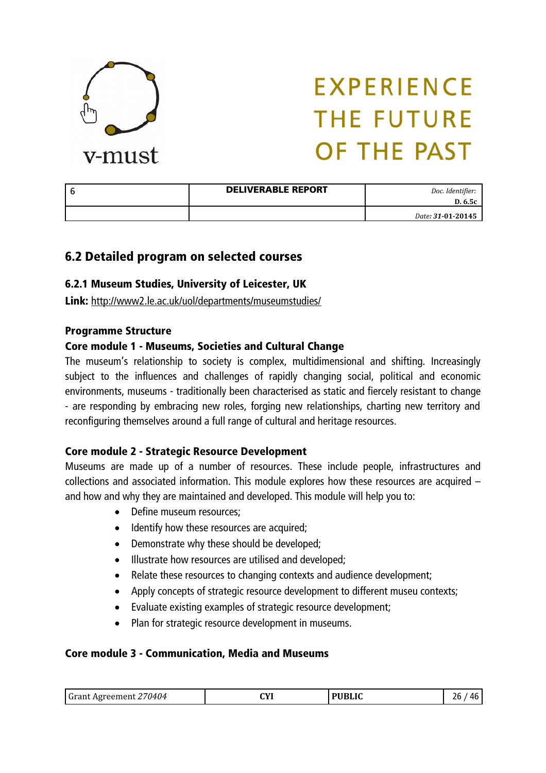

| <b>DELIVERABLE REPORT</b> | Doc. Identifier:<br>D. 6.5c |
|---------------------------|-----------------------------|
|                           | Date: 31-01-20145           |

### 6.2 Detailed program on selected courses

#### 6.2.1 Museum Studies, University of Leicester, UK

Link: <http://www2.le.ac.uk/uol/departments/museumstudies/>

#### Programme Structure

#### Core module 1 - Museums, Societies and Cultural Change

The museum's relationship to society is complex, multidimensional and shifting. Increasingly subject to the influences and challenges of rapidly changing social, political and economic environments, museums - traditionally been characterised as static and fiercely resistant to change - are responding by embracing new roles, forging new relationships, charting new territory and reconfiguring themselves around a full range of cultural and heritage resources.

#### Core module 2 - Strategic Resource Development

Museums are made up of a number of resources. These include people, infrastructures and collections and associated information. This module explores how these resources are acquired – and how and why they are maintained and developed. This module will help you to:

- Define museum resources:
- Identify how these resources are acquired;
- Demonstrate why these should be developed:
- Illustrate how resources are utilised and developed:
- Relate these resources to changing contexts and audience development;
- Apply concepts of strategic resource development to different museu contexts;
- Evaluate existing examples of strategic resource development;
- Plan for strategic resource development in museums.

#### Core module 3 - Communication, Media and Museums

| Grant Agreement 270404 | СVI<br>.<br>$\sim$ | 17 זמוזה | 'n |
|------------------------|--------------------|----------|----|
|------------------------|--------------------|----------|----|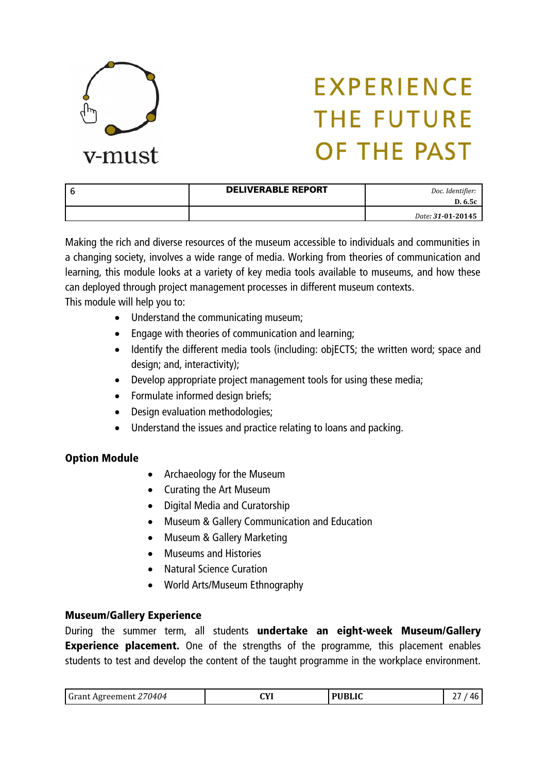

| <b>DELIVERABLE REPORT</b> | Doc. Identifier:<br>D. 6.5c |
|---------------------------|-----------------------------|
|                           | Date: 31-01-20145           |

Making the rich and diverse resources of the museum accessible to individuals and communities in a changing society, involves a wide range of media. Working from theories of communication and learning, this module looks at a variety of key media tools available to museums, and how these can deployed through project management processes in different museum contexts. This module will help you to:

- Understand the communicating museum;
- Engage with theories of communication and learning;
- Identify the different media tools (including: objECTS; the written word; space and design; and, interactivity);
- Develop appropriate project management tools for using these media;
- Formulate informed design briefs;
- Design evaluation methodologies;
- Understand the issues and practice relating to loans and packing.

#### Option Module

- Archaeology for the Museum
- Curating the Art Museum
- Digital Media and Curatorship
- Museum & Gallery Communication and Education
- Museum & Gallery Marketing
- Museums and Histories
- Natural Science Curation
- World Arts/Museum Ethnography

#### Museum/Gallery Experience

During the summer term, all students undertake an eight-week Museum/Gallery **Experience placement.** One of the strengths of the programme, this placement enables students to test and develop the content of the taught programme in the workplace environment.

| ່ Gາ<br><b><i><u>PARK</u></i></b><br>′U4U4<br>.<br><b>AVI</b><br>. | ЛЧ 71<br>. | $\overline{D}$ did is $\overline{C}$ | $\mathbf{u}$<br> |
|--------------------------------------------------------------------|------------|--------------------------------------|------------------|
|--------------------------------------------------------------------|------------|--------------------------------------|------------------|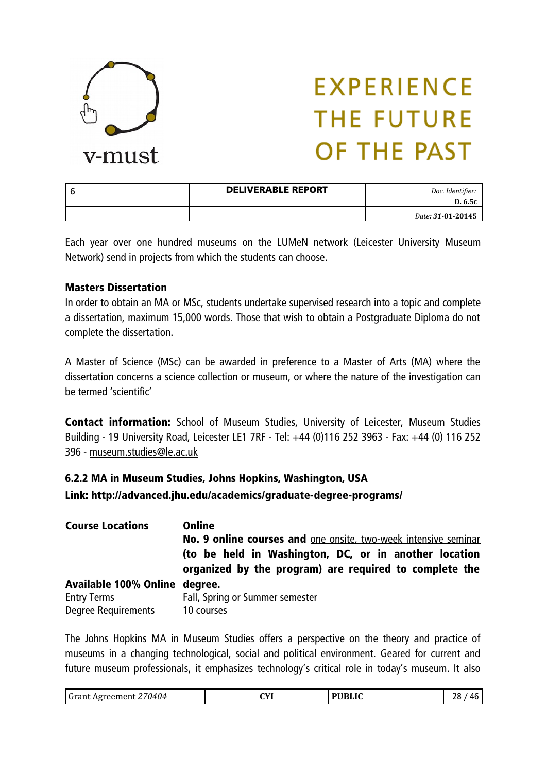

| <b>DELIVERABLE REPORT</b> | Doc. Identifier:<br>D. 6.5c |
|---------------------------|-----------------------------|
|                           | Date: 31-01-20145           |

Each year over one hundred museums on the LUMeN network (Leicester University Museum Network) send in projects from which the students can choose.

#### Masters Dissertation

In order to obtain an MA or MSc, students undertake supervised research into a topic and complete a dissertation, maximum 15,000 words. Those that wish to obtain a Postgraduate Diploma do not complete the dissertation.

A Master of Science (MSc) can be awarded in preference to a Master of Arts (MA) where the dissertation concerns a science collection or museum, or where the nature of the investigation can be termed 'scientific'

Contact information: School of Museum Studies, University of Leicester, Museum Studies Building - 19 University Road, Leicester LE1 7RF - Tel: +44 (0)116 252 3963 - Fax: +44 (0) 116 252 396 - [museum.studies@le.ac.uk](mailto:museum.studies@le.ac.uk)

### 6.2.2 MA in Museum Studies, Johns Hopkins, Washington, USA Link:<http://advanced.jhu.edu/academics/graduate-degree-programs/>

| <b>Course Locations</b>       | Online                                                                                                          |
|-------------------------------|-----------------------------------------------------------------------------------------------------------------|
|                               | No. 9 online courses and one onsite, two-week intensive seminar                                                 |
|                               | (to be held in Washington, DC, or in another location<br>organized by the program) are required to complete the |
| Available 100% Online degree. |                                                                                                                 |
| <b>Entry Terms</b>            | Fall, Spring or Summer semester                                                                                 |
| Degree Requirements           | 10 courses                                                                                                      |

The Johns Hopkins MA in Museum Studies offers a perspective on the theory and practice of museums in a changing technological, social and political environment. Geared for current and future museum professionals, it emphasizes technology's critical role in today's museum. It also

| <sup>,</sup> 70404<br><sup>1</sup> Grant Agreement. | $\alpha$<br>. | <b>PUBLIC</b> | ١٥<br>Лŀ<br>ہ∠ |
|-----------------------------------------------------|---------------|---------------|----------------|
|-----------------------------------------------------|---------------|---------------|----------------|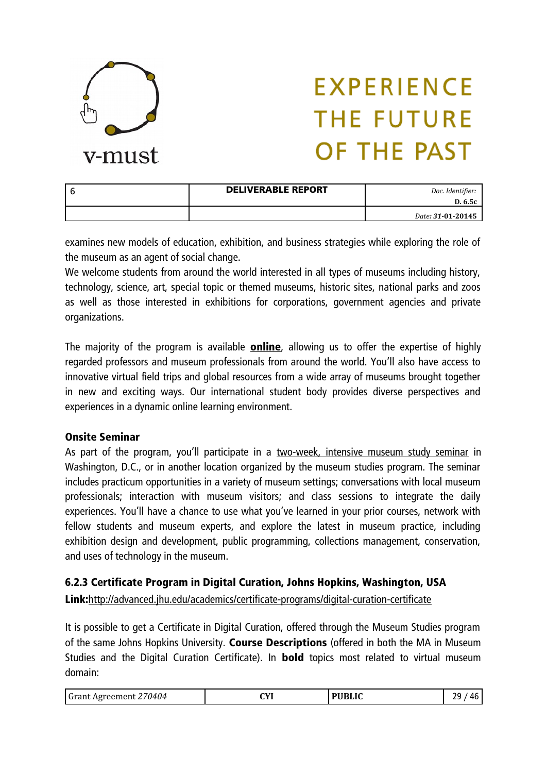

| <b>DELIVERABLE REPORT</b> | Doc. Identifier:<br>D. 6.5c |
|---------------------------|-----------------------------|
|                           | Date: 31-01-20145           |

examines new models of education, exhibition, and business strategies while exploring the role of the museum as an agent of social change.

We welcome students from around the world interested in all types of museums including history, technology, science, art, special topic or themed museums, historic sites, national parks and zoos as well as those interested in exhibitions for corporations, government agencies and private organizations.

The majority of the program is available **online**, allowing us to offer the expertise of highly regarded professors and museum professionals from around the world. You'll also have access to innovative virtual field trips and global resources from a wide array of museums brought together in new and exciting ways. Our international student body provides diverse perspectives and experiences in a dynamic online learning environment.

#### Onsite Seminar

As part of the program, you'll participate in a [two-week, intensive museum study seminar](http://advanced.jhu.edu/academics/graduate-degree-programs/museum-studies/the-experience/onsite-seminar/) in Washington, D.C., or in another location organized by the museum studies program. The seminar includes practicum opportunities in a variety of museum settings; conversations with local museum professionals; interaction with museum visitors; and class sessions to integrate the daily experiences. You'll have a chance to use what you've learned in your prior courses, network with fellow students and museum experts, and explore the latest in museum practice, including exhibition design and development, public programming, collections management, conservation, and uses of technology in the museum.

#### 6.2.3 Certificate Program in Digital Curation, Johns Hopkins, Washington, USA

Link:<http://advanced.jhu.edu/academics/certificate-programs/digital-curation-certificate>

It is possible to get a Certificate in Digital Curation, offered through the Museum Studies program of the same Johns Hopkins University. Course Descriptions (offered in both the MA in Museum Studies and the Digital Curation Certificate). In **bold** topics most related to virtual museum domain:

| Grant Agreement 270404 | СVІ | <b>PUBLIC</b> | າດ<br>Лŀ<br>. . |
|------------------------|-----|---------------|-----------------|
|------------------------|-----|---------------|-----------------|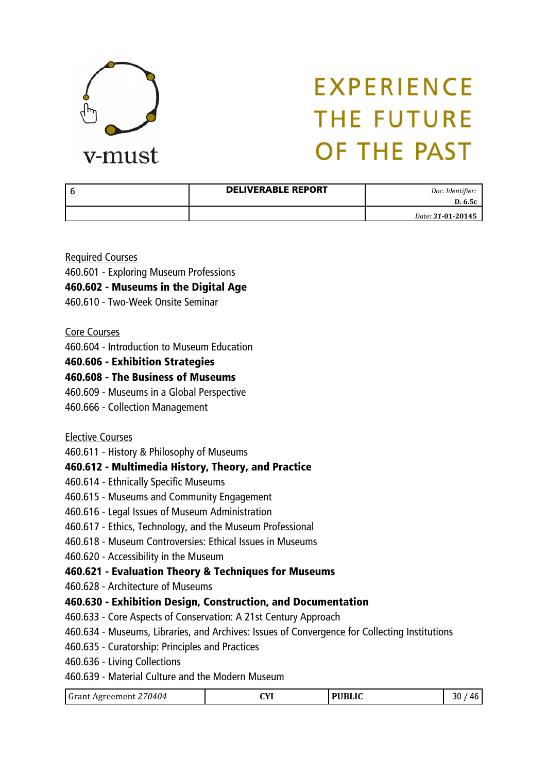

| l 6 | <b>DELIVERABLE REPORT</b> | Doc. Identifier:<br>D. 6.5c |
|-----|---------------------------|-----------------------------|
|     |                           | Date: 31-01-20145           |

Required Courses

460.601 - Exploring Museum Professions

460.602 - Museums in the Digital Age

460.610 - Two-Week Onsite Seminar

#### Core Courses

460.604 - Introduction to Museum Education

#### 460.606 - Exhibition Strategies

#### 460.608 - The Business of Museums

- 460.609 Museums in a Global Perspective
- 460.666 Collection Management

#### Elective Courses

460.611 - History & Philosophy of Museums

#### 460.612 - Multimedia History, Theory, and Practice

- 460.614 Ethnically Specific Museums
- 460.615 Museums and Community Engagement
- 460.616 Legal Issues of Museum Administration
- 460.617 Ethics, Technology, and the Museum Professional
- 460.618 Museum Controversies: Ethical Issues in Museums
- 460.620 Accessibility in the Museum

#### 460.621 - Evaluation Theory & Techniques for Museums

460.628 - Architecture of Museums

#### 460.630 - Exhibition Design, Construction, and Documentation

- 460.633 Core Aspects of Conservation: A 21st Century Approach
- 460.634 Museums, Libraries, and Archives: Issues of Convergence for Collecting Institutions
- 460.635 Curatorship: Principles and Practices
- 460.636 Living Collections
- 460.639 Material Culture and the Modern Museum

| Grant Agreement 270404 | $\alpha$ | <b>PUBLIC</b> | 30<br>Лŀ |
|------------------------|----------|---------------|----------|
|------------------------|----------|---------------|----------|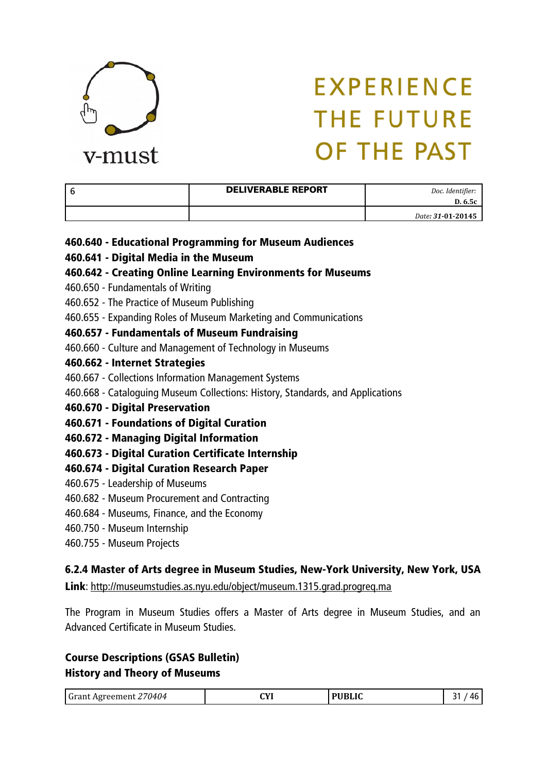

| <b>DELIVERABLE REPORT</b> | Doc. Identifier:<br>D. 6.5c |
|---------------------------|-----------------------------|
|                           | Date: 31-01-20145           |

- 460.640 Educational Programming for Museum Audiences
- 460.641 Digital Media in the Museum
- 460.642 Creating Online Learning Environments for Museums
- 460.650 Fundamentals of Writing
- 460.652 The Practice of Museum Publishing
- 460.655 Expanding Roles of Museum Marketing and Communications
- 460.657 Fundamentals of Museum Fundraising
- 460.660 Culture and Management of Technology in Museums
- 460.662 Internet Strategies
- 460.667 Collections Information Management Systems
- 460.668 Cataloguing Museum Collections: History, Standards, and Applications
- 460.670 Digital Preservation
- 460.671 Foundations of Digital Curation
- 460.672 Managing Digital Information
- 460.673 Digital Curation Certificate Internship
- 460.674 Digital Curation Research Paper
- 460.675 Leadership of Museums
- 460.682 Museum Procurement and Contracting
- 460.684 Museums, Finance, and the Economy
- 460.750 Museum Internship
- 460.755 Museum Projects

#### 6.2.4 Master of Arts degree in Museum Studies, New-York University, New York, USA

Link:<http://museumstudies.as.nyu.edu/object/museum.1315.grad.progreq.ma>

The Program in Museum Studies offers a Master of Arts degree in Museum Studies, and an Advanced Certificate in Museum Studies.

#### Course Descriptions (GSAS Bulletin) History and Theory of Museums

| Grant Agreement 270404 | СVІ<br>ᅜ | <b>PUBLIC</b> | л |
|------------------------|----------|---------------|---|
|------------------------|----------|---------------|---|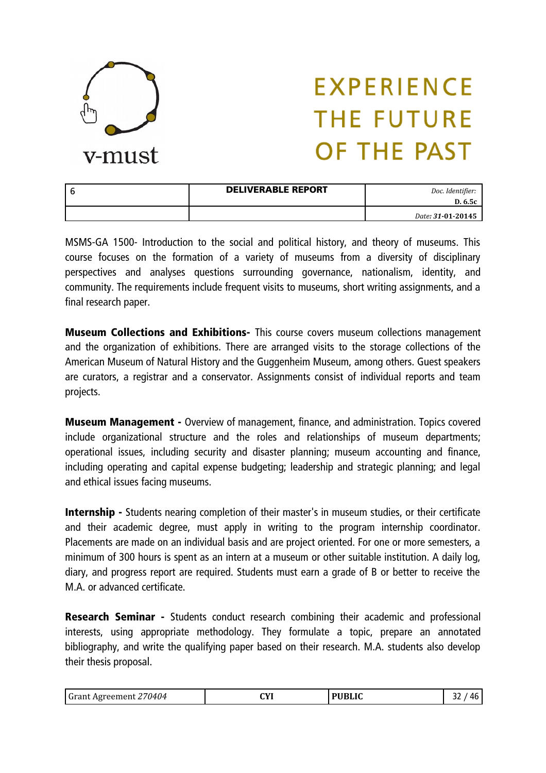

| <b>DELIVERABLE REPORT</b> | Doc. Identifier:<br>D. 6.5c |
|---------------------------|-----------------------------|
|                           | Date: 31-01-20145           |

MSMS-GA 1500- Introduction to the social and political history, and theory of museums. This course focuses on the formation of a variety of museums from a diversity of disciplinary perspectives and analyses questions surrounding governance, nationalism, identity, and community. The requirements include frequent visits to museums, short writing assignments, and a final research paper.

**Museum Collections and Exhibitions-** This course covers museum collections management and the organization of exhibitions. There are arranged visits to the storage collections of the American Museum of Natural History and the Guggenheim Museum, among others. Guest speakers are curators, a registrar and a conservator. Assignments consist of individual reports and team projects.

Museum Management - Overview of management, finance, and administration. Topics covered include organizational structure and the roles and relationships of museum departments; operational issues, including security and disaster planning; museum accounting and finance, including operating and capital expense budgeting; leadership and strategic planning; and legal and ethical issues facing museums.

Internship - Students nearing completion of their master's in museum studies, or their certificate and their academic degree, must apply in writing to the program internship coordinator. Placements are made on an individual basis and are project oriented. For one or more semesters, a minimum of 300 hours is spent as an intern at a museum or other suitable institution. A daily log, diary, and progress report are required. Students must earn a grade of B or better to receive the M.A. or advanced certificate.

Research Seminar - Students conduct research combining their academic and professional interests, using appropriate methodology. They formulate a topic, prepare an annotated bibliography, and write the qualifying paper based on their research. M.A. students also develop their thesis proposal.

| Grant Agreement 270404 | $\sim$<br>. | <b>PUBLIC</b> | -- |
|------------------------|-------------|---------------|----|
|------------------------|-------------|---------------|----|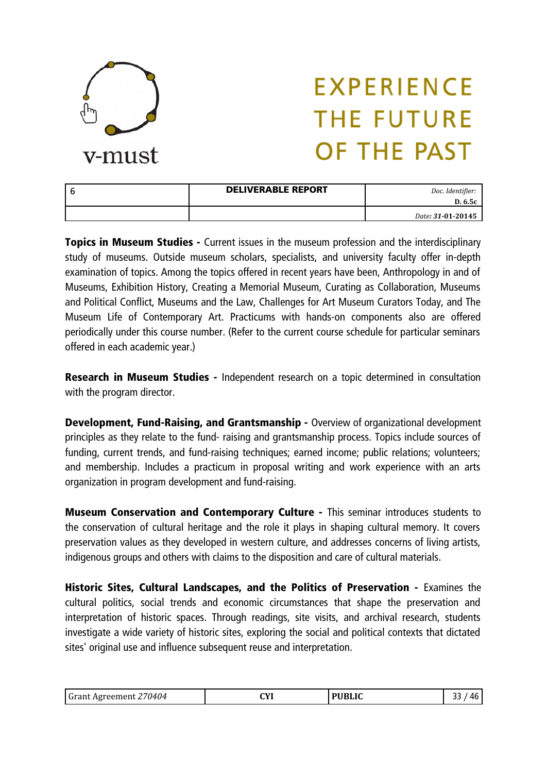

| <b>DELIVERABLE REPORT</b> | Doc. Identifier:<br>D. 6.5c |
|---------------------------|-----------------------------|
|                           | Date: 31-01-20145           |

**Topics in Museum Studies -** Current issues in the museum profession and the interdisciplinary study of museums. Outside museum scholars, specialists, and university faculty offer in-depth examination of topics. Among the topics offered in recent years have been, Anthropology in and of Museums, Exhibition History, Creating a Memorial Museum, Curating as Collaboration, Museums and Political Conflict, Museums and the Law, Challenges for Art Museum Curators Today, and The Museum Life of Contemporary Art. Practicums with hands-on components also are offered periodically under this course number. (Refer to the current course schedule for particular seminars offered in each academic year.)

**Research in Museum Studies -** Independent research on a topic determined in consultation with the program director.

Development, Fund-Raising, and Grantsmanship - Overview of organizational development principles as they relate to the fund- raising and grantsmanship process. Topics include sources of funding, current trends, and fund-raising techniques; earned income; public relations; volunteers; and membership. Includes a practicum in proposal writing and work experience with an arts organization in program development and fund-raising.

Museum Conservation and Contemporary Culture - This seminar introduces students to the conservation of cultural heritage and the role it plays in shaping cultural memory. It covers preservation values as they developed in western culture, and addresses concerns of living artists, indigenous groups and others with claims to the disposition and care of cultural materials.

Historic Sites, Cultural Landscapes, and the Politics of Preservation - Examines the cultural politics, social trends and economic circumstances that shape the preservation and interpretation of historic spaces. Through readings, site visits, and archival research, students investigate a wide variety of historic sites, exploring the social and political contexts that dictated sites' original use and influence subsequent reuse and interpretation.

| <b>Grant Agreement</b><br>70404 | $\sqrt{1}$<br>v<br>$\sim$ | <b>PUBLIC</b> |  |
|---------------------------------|---------------------------|---------------|--|
|---------------------------------|---------------------------|---------------|--|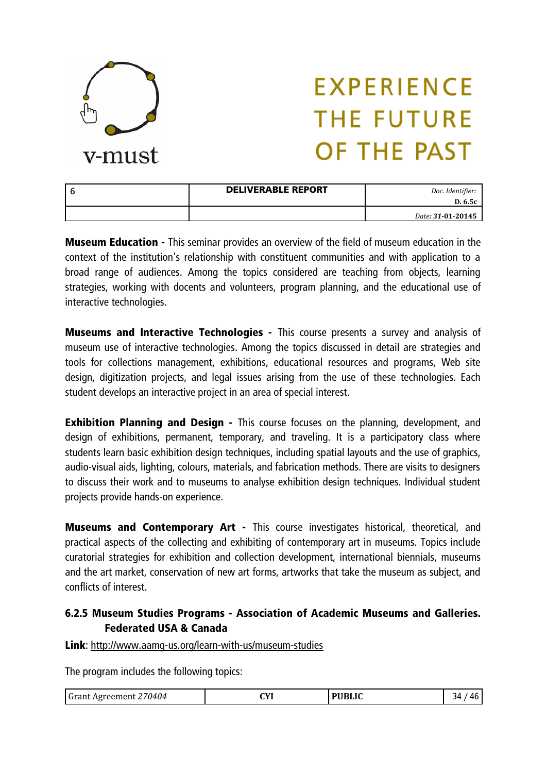

| <b>DELIVERABLE REPORT</b> | Doc. Identifier:<br>D. 6.5c |
|---------------------------|-----------------------------|
|                           | Date: 31-01-20145           |

**Museum Education -** This seminar provides an overview of the field of museum education in the context of the institution's relationship with constituent communities and with application to a broad range of audiences. Among the topics considered are teaching from objects, learning strategies, working with docents and volunteers, program planning, and the educational use of interactive technologies.

**Museums and Interactive Technologies -** This course presents a survey and analysis of museum use of interactive technologies. Among the topics discussed in detail are strategies and tools for collections management, exhibitions, educational resources and programs, Web site design, digitization projects, and legal issues arising from the use of these technologies. Each student develops an interactive project in an area of special interest.

**Exhibition Planning and Design -** This course focuses on the planning, development, and design of exhibitions, permanent, temporary, and traveling. It is a participatory class where students learn basic exhibition design techniques, including spatial layouts and the use of graphics, audio-visual aids, lighting, colours, materials, and fabrication methods. There are visits to designers to discuss their work and to museums to analyse exhibition design techniques. Individual student projects provide hands-on experience.

Museums and Contemporary Art - This course investigates historical, theoretical, and practical aspects of the collecting and exhibiting of contemporary art in museums. Topics include curatorial strategies for exhibition and collection development, international biennials, museums and the art market, conservation of new art forms, artworks that take the museum as subject, and conflicts of interest.

### 6.2.5 Museum Studies Programs - Association of Academic Museums and Galleries. Federated USA & Canada

Link:<http://www.aamg-us.org/learn-with-us/museum-studies>

The program includes the following topics:

| Grant Agreement 270404 | $\alpha$ | <b>PUBLIC</b> | 34<br>Дŀ |
|------------------------|----------|---------------|----------|
|------------------------|----------|---------------|----------|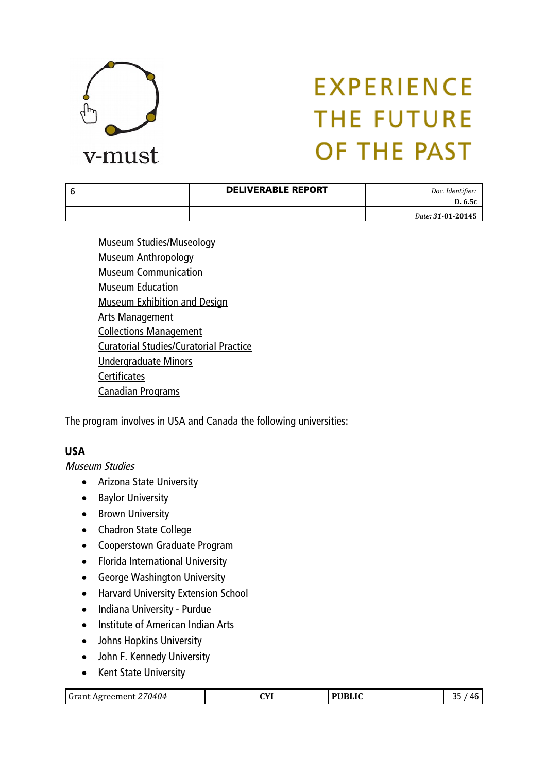

| <b>DELIVERABLE REPORT</b> | Doc. Identifier:<br>D. 6.5c |
|---------------------------|-----------------------------|
|                           | Date: 31-01-20145           |

<span id="page-34-10"></span><span id="page-34-9"></span><span id="page-34-8"></span><span id="page-34-7"></span><span id="page-34-6"></span><span id="page-34-5"></span><span id="page-34-4"></span><span id="page-34-3"></span>[Museum Studies/Museology](#page-34-10) [Museum Anthropology](#page-34-9) [Museum Communication](#page-34-8) [Museum Education](#page-34-7) [Museum Exhibition and Design](#page-34-6) [Arts Management](#page-34-5) [Collections Management](#page-34-4) [Curatorial Studies/Curatorial Practice](#page-34-3) [Undergraduate Minors](#page-34-2) **[Certificates](#page-34-1)** [Canadian Programs](#page-34-0)

<span id="page-34-2"></span><span id="page-34-1"></span><span id="page-34-0"></span>The program involves in USA and Canada the following universities:

### USA

Museum Studies

- **•** Arizona State University
- Baylor University
- Brown University
- Chadron State College
- Cooperstown Graduate Program
- Florida International University
- George Washington University
- Harvard University Extension School
- Indiana University Purdue
- Institute of American Indian Arts
- Johns Hopkins University
- John F. Kennedy University
- Kent State University

| 70404<br><b>Grant Agreement</b> | $\alpha v$<br>.<br>$\sim$ | NIDI IC | л |
|---------------------------------|---------------------------|---------|---|
|---------------------------------|---------------------------|---------|---|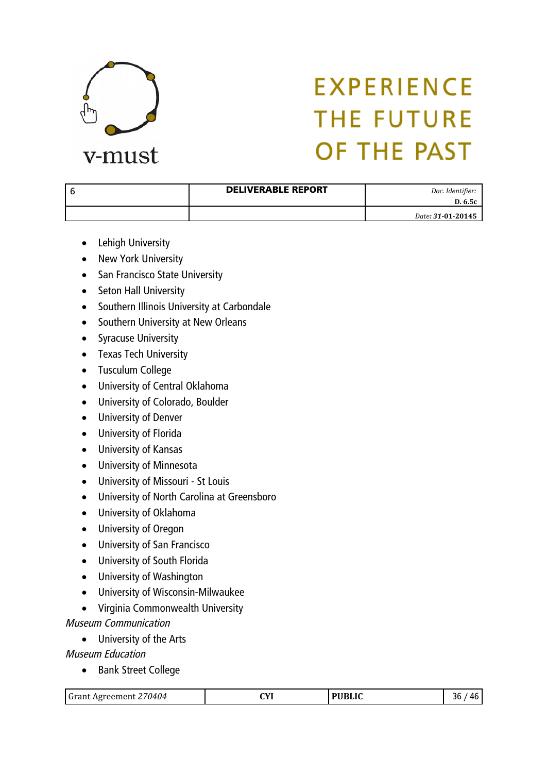

| <b>DELIVERABLE REPORT</b> | Doc. Identifier:<br>D. 6.5c |
|---------------------------|-----------------------------|
|                           | Date: 31-01-20145           |

- Lehigh University
- New York University
- San Francisco State University
- Seton Hall University
- Southern Illinois University at Carbondale
- Southern University at New Orleans
- Syracuse University
- Texas Tech University
- Tusculum College
- University of Central Oklahoma
- University of Colorado, Boulder
- University of Denver
- University of Florida
- University of Kansas
- University of Minnesota
- University of Missouri St Louis
- University of North Carolina at Greensboro
- University of Oklahoma
- University of Oregon
- University of San Francisco
- University of South Florida
- University of Washington
- University of Wisconsin-Milwaukee
- Virginia Commonwealth University

#### Museum Communication

University of the Arts

Museum Education

• Bank Street College

|--|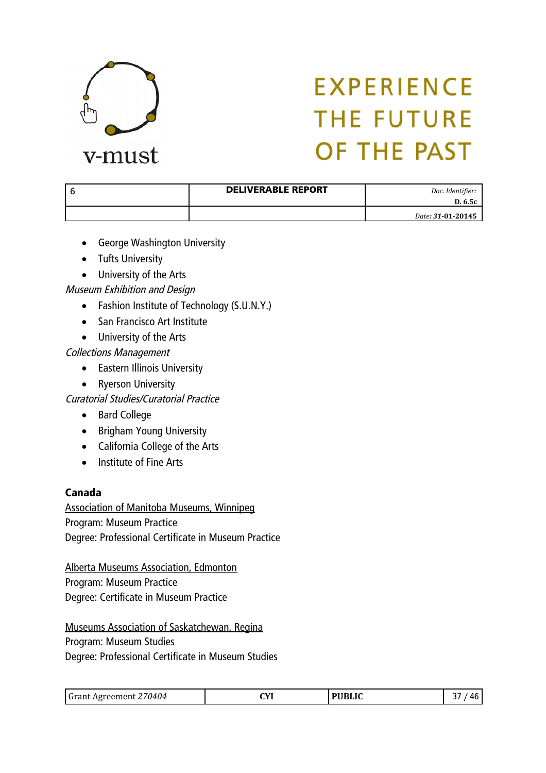

| <b>DELIVERABLE REPORT</b> | Doc. Identifier:<br>D. 6.5c |
|---------------------------|-----------------------------|
|                           | Date: 31-01-20145           |

- George Washington University
- Tufts University
- University of the Arts

#### Museum Exhibition and Design

- Fashion Institute of Technology (S.U.N.Y.)
- San Francisco Art Institute
- University of the Arts

#### Collections Management

- Eastern Illinois University
- Ryerson University

Curatorial Studies/Curatorial Practice

- Bard College
- Brigham Young University
- California College of the Arts
- Institute of Fine Arts

#### Canada

Association of Manitoba Museums, Winnipeg Program: Museum Practice Degree: Professional Certificate in Museum Practice

Alberta Museums Association, Edmonton Program: Museum Practice Degree: Certificate in Museum Practice

Museums Association of Saskatchewan, Regina Program: Museum Studies Degree: Professional Certificate in Museum Studies

| 70404<br>i Gran<br>* Agreement .<br>,,,, | $\alpha$<br>. | , PHRLIC<br>uw. | л |
|------------------------------------------|---------------|-----------------|---|
|------------------------------------------|---------------|-----------------|---|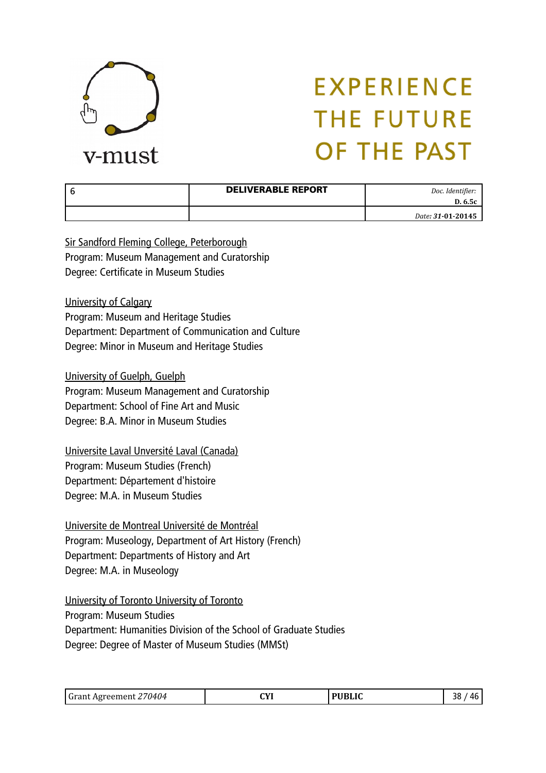

| <b>DELIVERABLE REPORT</b> | Doc. Identifier:<br>D. 6.5c |
|---------------------------|-----------------------------|
|                           | Date: 31-01-20145           |

Sir Sandford Fleming College, Peterborough Program: Museum Management and Curatorship Degree: Certificate in Museum Studies

University of Calgary

Program: Museum and Heritage Studies Department: Department of Communication and Culture Degree: Minor in Museum and Heritage Studies

University of Guelph, Guelph Program: Museum Management and Curatorship Department: School of Fine Art and Music Degree: B.A. Minor in Museum Studies

Universite Laval Unversité Laval (Canada) Program: Museum Studies (French) Department: Département d'histoire Degree: M.A. in Museum Studies

Universite de Montreal Université de Montréal Program: Museology, Department of Art History (French) Department: Departments of History and Art Degree: M.A. in Museology

University of Toronto University of Toronto

Program: Museum Studies

Department: Humanities Division of the School of Graduate Studies Degree: Degree of Master of Museum Studies (MMSt)

| Grant Agreement 270404 | $\alpha$<br>. | <b>PUBLIC</b> | 38<br>Λŀ<br><b></b> |
|------------------------|---------------|---------------|---------------------|
|------------------------|---------------|---------------|---------------------|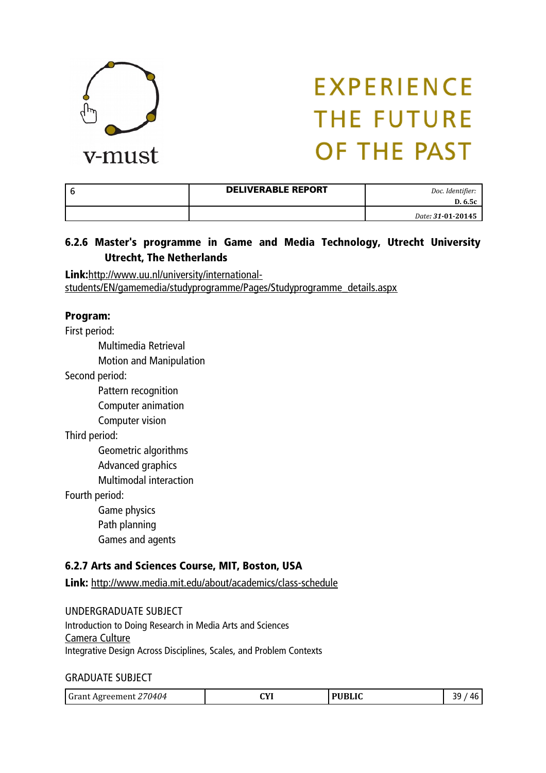

| <b>DELIVERABLE REPORT</b> | Doc. Identifier:<br>D. 6.5c |
|---------------------------|-----------------------------|
|                           | Date: 31-01-20145           |

#### 6.2.6 Master's programme in Game and Media Technology, Utrecht University Utrecht, The Netherlands

Link:[http://www.uu.nl/university/international](http://www.uu.nl/university/international-students/EN/gamemedia/studyprogramme/Pages/Studyprogramme_details.aspx)[students/EN/gamemedia/studyprogramme/Pages/Studyprogramme\\_details.aspx](http://www.uu.nl/university/international-students/EN/gamemedia/studyprogramme/Pages/Studyprogramme_details.aspx)

#### Program:

First period:

Multimedia Retrieval

Motion and Manipulation

Second period:

Pattern recognition

Computer animation

Computer vision

Third period:

Geometric algorithms Advanced graphics

Multimodal interaction

Fourth period:

Game physics

Path planning

Games and agents

#### 6.2.7 Arts and Sciences Course, MIT, Boston, USA

Link: <http://www.media.mit.edu/about/academics/class-schedule>

UNDERGRADUATE SUBJECT Introduction to Doing Research in Media Arts and Sciences [Camera Culture](http://cameraculture.media.mit.edu/courses) Integrative Design Across Disciplines, Scales, and Problem Contexts

#### GRADUATE SUBJECT

| Grant Agreement 270404 | $\alpha$ | <b>PUBLIC</b> | 3d<br>46 |
|------------------------|----------|---------------|----------|
|------------------------|----------|---------------|----------|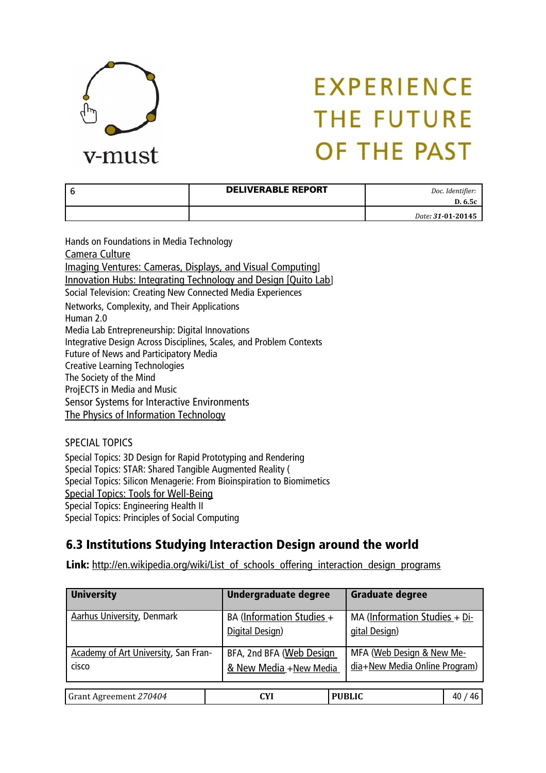

| <b>DELIVERABLE REPORT</b> | Doc. Identifier:<br>D. 6.5c |
|---------------------------|-----------------------------|
|                           | Date: 31-01-20145           |

Hands on Foundations in Media Technology [Camera Culture](http://cameraculture.media.mit.edu/courses) [Imaging Ventures: Cameras, Displays, and Visual Computing](http://cameraculture.media.mit.edu/courses)] [Innovation Hubs: Integrating Technology and Design \[Quito Lab](http://smartcities.media.mit.edu/download/MAS552-QuitoLab.pdf)] Social Television: Creating New Connected Media Experiences Networks, Complexity, and Their Applications Human 2.0 Media Lab Entrepreneurship: Digital Innovations Integrative Design Across Disciplines, Scales, and Problem Contexts Future of News and Participatory Media Creative Learning Technologies The Society of the Mind ProjECTS in Media and Music Sensor Systems for Interactive Environments [The Physics of Information Technology](http://fab.cba.mit.edu/classes/MAS.864/)

SPECIAL TOPICS Special Topics: 3D Design for Rapid Prototyping and Rendering Special Topics: STAR: Shared Tangible Augmented Reality ( Special Topics: Silicon Menagerie: From Bioinspiration to Biomimetics [Special Topics: Tools for Well-Being](http://wellbeing.media.mit.edu/) Special Topics: Engineering Health II Special Topics: Principles of Social Computing

### 6.3 Institutions Studying Interaction Design around the world

Link: [http://en.wikipedia.org/wiki/List\\_of\\_schools\\_offering\\_interaction\\_design\\_programs](http://en.wikipedia.org/wiki/List_of_schools_offering_interaction_design_programs)

| <b>University</b>                             | <b>Undergraduate degree</b>                        | <b>Graduate degree</b>                                     |
|-----------------------------------------------|----------------------------------------------------|------------------------------------------------------------|
| <b>Aarhus University, Denmark</b>             | BA (Information Studies +<br>Digital Design)       | MA (Information Studies + Di-<br>gital Design)             |
| Academy of Art University, San Fran-<br>cisco | BFA, 2nd BFA (Web Design<br>& New Media +New Media | MFA (Web Design & New Me-<br>dia+New Media Online Program) |
| Grant Agreement 270404                        | <b>CYI</b>                                         | <b>PUBLIC</b><br>46                                        |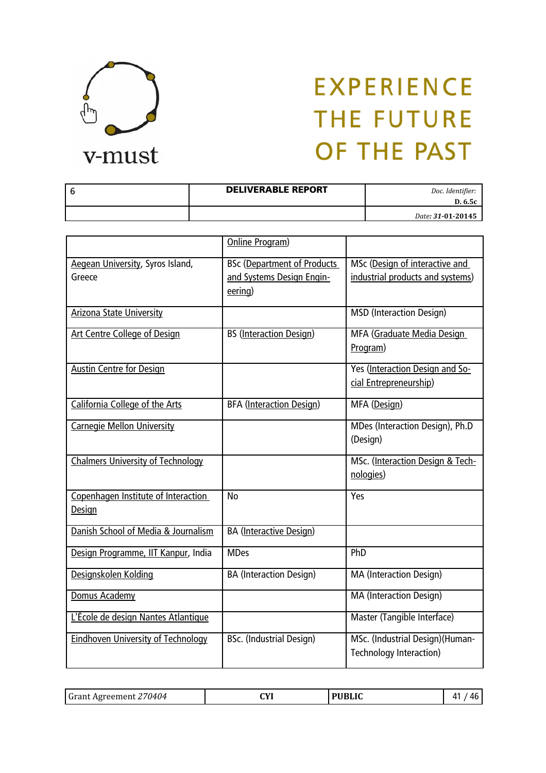

| <b>DELIVERABLE REPORT</b> | Doc. Identifier:<br>D. 6.5c |
|---------------------------|-----------------------------|
|                           | Date: 31-01-20145           |

|                                                      | Online Program)                                                 |                                                                    |
|------------------------------------------------------|-----------------------------------------------------------------|--------------------------------------------------------------------|
| Aegean University, Syros Island,<br>Greece           | <b>BSc</b> (Department of Products<br>and Systems Design Engin- | MSc (Design of interactive and<br>industrial products and systems) |
|                                                      | eering)                                                         |                                                                    |
| <b>Arizona State University</b>                      |                                                                 | <b>MSD</b> (Interaction Design)                                    |
| <b>Art Centre College of Design</b>                  | <b>BS</b> (Interaction Design)                                  | MFA (Graduate Media Design<br>Program)                             |
| <b>Austin Centre for Design</b>                      |                                                                 | Yes (Interaction Design and So-<br>cial Entrepreneurship)          |
| California College of the Arts                       | <b>BFA</b> (Interaction Design)                                 | MFA (Design)                                                       |
| <b>Carnegie Mellon University</b>                    |                                                                 | MDes (Interaction Design), Ph.D<br>(Design)                        |
| <b>Chalmers University of Technology</b>             |                                                                 | MSc. (Interaction Design & Tech-<br>nologies)                      |
| Copenhagen Institute of Interaction<br><b>Design</b> | <b>No</b>                                                       | Yes                                                                |
| Danish School of Media & Journalism                  | <b>BA</b> (Interactive Design)                                  |                                                                    |
| Design Programme, IIT Kanpur, India                  | <b>MDes</b>                                                     | PhD                                                                |
| Designskolen Kolding                                 | <b>BA (Interaction Design)</b>                                  | <b>MA (Interaction Design)</b>                                     |
| Domus Academy                                        |                                                                 | <b>MA (Interaction Design)</b>                                     |
| L'École de design Nantes Atlantique                  |                                                                 | Master (Tangible Interface)                                        |
| <b>Eindhoven University of Technology</b>            | <b>BSc.</b> (Industrial Design)                                 | MSc. (Industrial Design) (Human-<br>Technology Interaction)        |

|--|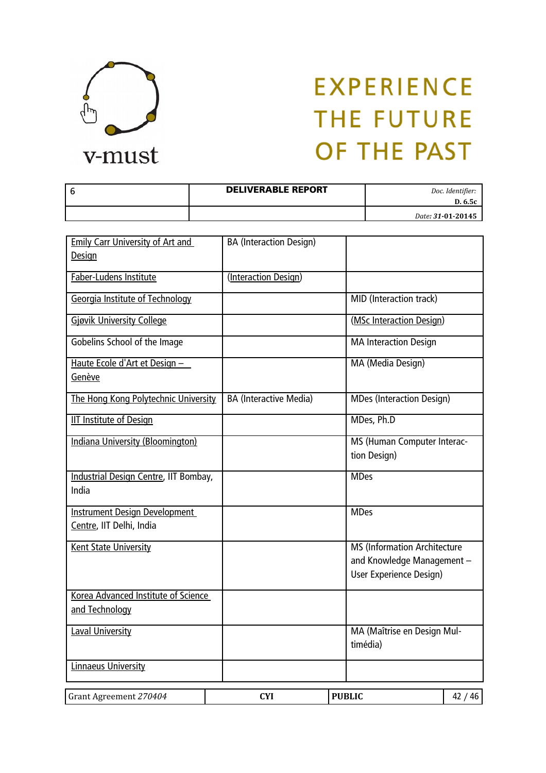

| <b>DELIVERABLE REPORT</b> | Doc. Identifier:<br>D. 6.5c |
|---------------------------|-----------------------------|
|                           | Date: 31-01-20145           |

| <b>Emily Carr University of Art and</b><br>Design                | <b>BA</b> (Interaction Design) |               |                                                                                              |       |
|------------------------------------------------------------------|--------------------------------|---------------|----------------------------------------------------------------------------------------------|-------|
| Faber-Ludens Institute                                           | (Interaction Design)           |               |                                                                                              |       |
| Georgia Institute of Technology                                  |                                |               | MID (Interaction track)                                                                      |       |
| <b>Gjøvik University College</b>                                 |                                |               | (MSc Interaction Design)                                                                     |       |
| Gobelins School of the Image                                     |                                |               | <b>MA Interaction Design</b>                                                                 |       |
| Haute Ecole d'Art et Design -<br>Genève                          |                                |               | <b>MA (Media Design)</b>                                                                     |       |
| The Hong Kong Polytechnic University                             | <b>BA (Interactive Media)</b>  |               | <b>MDes (Interaction Design)</b>                                                             |       |
| <b>IIT Institute of Design</b>                                   |                                |               | MDes, Ph.D                                                                                   |       |
| Indiana University (Bloomington)                                 |                                |               | MS (Human Computer Interac-<br>tion Design)                                                  |       |
| Industrial Design Centre, IIT Bombay,<br>India                   |                                |               | <b>MDes</b>                                                                                  |       |
| <b>Instrument Design Development</b><br>Centre, IIT Delhi, India |                                |               | <b>MDes</b>                                                                                  |       |
| <b>Kent State University</b>                                     |                                |               | <b>MS (Information Architecture</b><br>and Knowledge Management -<br>User Experience Design) |       |
| Korea Advanced Institute of Science<br>and Technology            |                                |               |                                                                                              |       |
| <b>Laval University</b>                                          |                                |               | MA (Maîtrise en Design Mul-<br>timédia)                                                      |       |
| Linnaeus University                                              |                                |               |                                                                                              |       |
| Grant Agreement 270404                                           | <b>CYI</b>                     | <b>PUBLIC</b> |                                                                                              | 42/46 |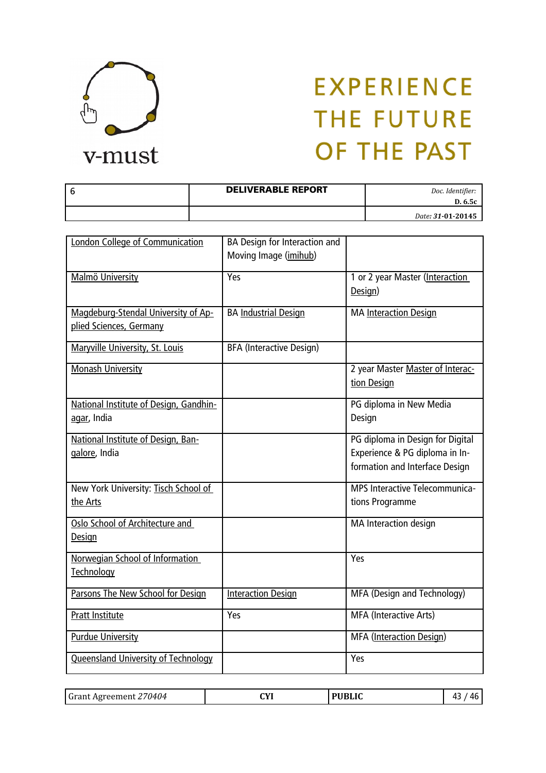

| <b>DELIVERABLE REPORT</b> | Doc. Identifier:<br>D. 6.5c |
|---------------------------|-----------------------------|
|                           | Date: 31-01-20145           |

| London College of Communication                                | BA Design for Interaction and<br>Moving Image (imihub) |                                                                                                      |
|----------------------------------------------------------------|--------------------------------------------------------|------------------------------------------------------------------------------------------------------|
| Malmö University                                               | Yes                                                    | 1 or 2 year Master (Interaction<br>Design)                                                           |
| Magdeburg-Stendal University of Ap-<br>plied Sciences, Germany | <b>BA Industrial Design</b>                            | MA Interaction Design                                                                                |
| Maryville University, St. Louis                                | <b>BFA (Interactive Design)</b>                        |                                                                                                      |
| <b>Monash University</b>                                       |                                                        | 2 year Master Master of Interac-<br>tion Design                                                      |
| National Institute of Design, Gandhin-<br>agar, India          |                                                        | PG diploma in New Media<br>Design                                                                    |
| National Institute of Design, Ban-<br>galore, India            |                                                        | PG diploma in Design for Digital<br>Experience & PG diploma in In-<br>formation and Interface Design |
| New York University: Tisch School of<br>the Arts               |                                                        | <b>MPS Interactive Telecommunica-</b><br>tions Programme                                             |
| Oslo School of Architecture and<br>Design                      |                                                        | MA Interaction design                                                                                |
| Norwegian School of Information<br><b>Technology</b>           |                                                        | Yes                                                                                                  |
| Parsons The New School for Design                              | <b>Interaction Design</b>                              | MFA (Design and Technology)                                                                          |
| <b>Pratt Institute</b>                                         | Yes                                                    | MFA (Interactive Arts)                                                                               |
| <b>Purdue University</b>                                       |                                                        | MFA (Interaction Design)                                                                             |
| <b>Queensland University of Technology</b>                     |                                                        | Yes                                                                                                  |

| 112 <sup>2</sup><br>0404'<br>. eeme<br>∵ А∪і⊢. | CVI<br>. |  | 71 L<br>- 6 |
|------------------------------------------------|----------|--|-------------|
|------------------------------------------------|----------|--|-------------|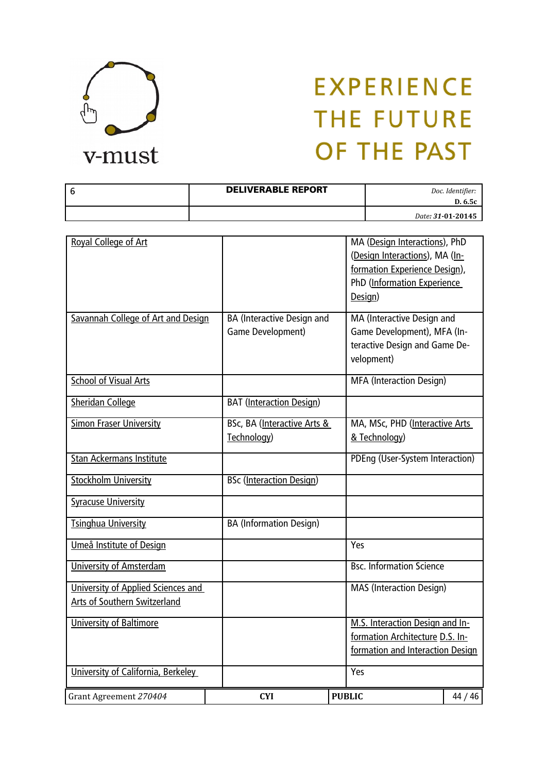

| <b>DELIVERABLE REPORT</b> | Doc. Identifier:<br>D. 6.5c |
|---------------------------|-----------------------------|
|                           | Date: 31-01-20145           |

| Royal College of Art               |                                   | MA (Design Interactions), PhD<br>(Design Interactions), MA (In- |         |
|------------------------------------|-----------------------------------|-----------------------------------------------------------------|---------|
|                                    |                                   | formation Experience Design),                                   |         |
|                                    |                                   | PhD (Information Experience<br>Design)                          |         |
|                                    |                                   |                                                                 |         |
| Savannah College of Art and Design | <b>BA</b> (Interactive Design and | MA (Interactive Design and                                      |         |
|                                    | Game Development)                 | Game Development), MFA (In-<br>teractive Design and Game De-    |         |
|                                    |                                   | velopment)                                                      |         |
|                                    |                                   |                                                                 |         |
| <b>School of Visual Arts</b>       |                                   | <b>MFA</b> (Interaction Design)                                 |         |
| <b>Sheridan College</b>            | <b>BAT</b> (Interaction Design)   |                                                                 |         |
| <b>Simon Fraser University</b>     | BSc, BA (Interactive Arts &       | MA, MSc, PHD (Interactive Arts                                  |         |
|                                    | Technology)                       | & Technology)                                                   |         |
| <b>Stan Ackermans Institute</b>    |                                   | PDEng (User-System Interaction)                                 |         |
| <b>Stockholm University</b>        | <b>BSc</b> (Interaction Design)   |                                                                 |         |
| <b>Syracuse University</b>         |                                   |                                                                 |         |
| <b>Tsinghua University</b>         | <b>BA</b> (Information Design)    |                                                                 |         |
| Umeå Institute of Design           |                                   | Yes                                                             |         |
| <b>University of Amsterdam</b>     |                                   | <b>Bsc. Information Science</b>                                 |         |
| University of Applied Sciences and |                                   | <b>MAS</b> (Interaction Design)                                 |         |
| Arts of Southern Switzerland       |                                   |                                                                 |         |
| University of Baltimore            |                                   | M.S. Interaction Design and In-                                 |         |
|                                    |                                   | formation Architecture D.S. In-                                 |         |
|                                    |                                   | formation and Interaction Design                                |         |
| University of California, Berkeley |                                   | Yes                                                             |         |
| Grant Agreement 270404             | <b>CYI</b>                        | <b>PUBLIC</b>                                                   | 44 / 46 |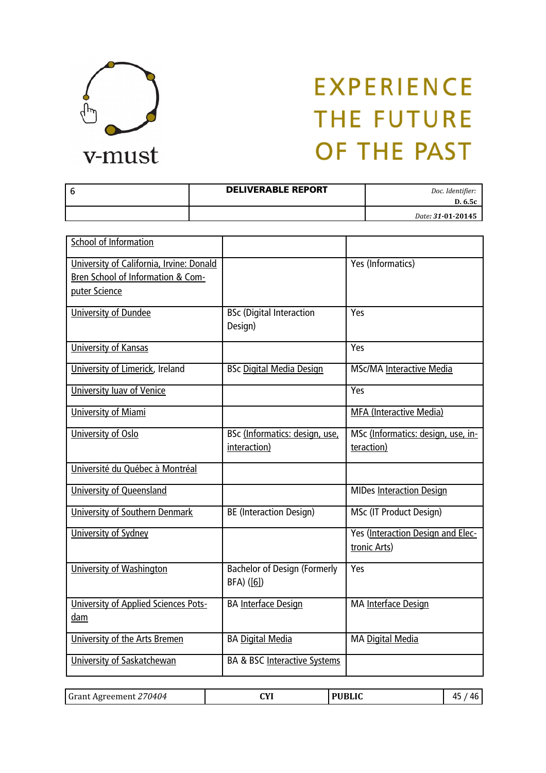

| <b>DELIVERABLE REPORT</b> | Doc. Identifier:<br>D. 6.5c |
|---------------------------|-----------------------------|
|                           | Date: 31-01-20145           |

| <b>School of Information</b>                                                                   |                                                   |                                                   |
|------------------------------------------------------------------------------------------------|---------------------------------------------------|---------------------------------------------------|
| University of California, Irvine: Donald<br>Bren School of Information & Com-<br>puter Science |                                                   | Yes (Informatics)                                 |
| <b>University of Dundee</b>                                                                    | <b>BSc (Digital Interaction</b><br>Design)        | Yes                                               |
| <b>University of Kansas</b>                                                                    |                                                   | Yes                                               |
| University of Limerick, Ireland                                                                | <b>BSc Digital Media Design</b>                   | <b>MSc/MA Interactive Media</b>                   |
| University luav of Venice                                                                      |                                                   | Yes                                               |
| <b>University of Miami</b>                                                                     |                                                   | <b>MFA (Interactive Media)</b>                    |
| University of Oslo                                                                             | BSc (Informatics: design, use,<br>interaction)    | MSc (Informatics: design, use, in-<br>teraction)  |
| Université du Québec à Montréal                                                                |                                                   |                                                   |
| University of Queensland                                                                       |                                                   | <b>MIDes Interaction Design</b>                   |
| <b>University of Southern Denmark</b>                                                          | <b>BE (Interaction Design)</b>                    | MSc (IT Product Design)                           |
| University of Sydney                                                                           |                                                   | Yes (Interaction Design and Elec-<br>tronic Arts) |
| University of Washington                                                                       | <b>Bachelor of Design (Formerly</b><br>BFA) ([6]) | Yes                                               |
| University of Applied Sciences Pots-<br>dam                                                    | <b>BA Interface Design</b>                        | MA Interface Design                               |
| University of the Arts Bremen                                                                  | <b>BA Digital Media</b>                           | MA Digital Media                                  |
| University of Saskatchewan                                                                     | <b>BA &amp; BSC Interactive Systems</b>           |                                                   |

| . .<br>DHDI I $\epsilon$<br>ЛЧ 71<br>71 L<br>70404<br>Grant<br>Agreemer<br>. |
|------------------------------------------------------------------------------|
|------------------------------------------------------------------------------|